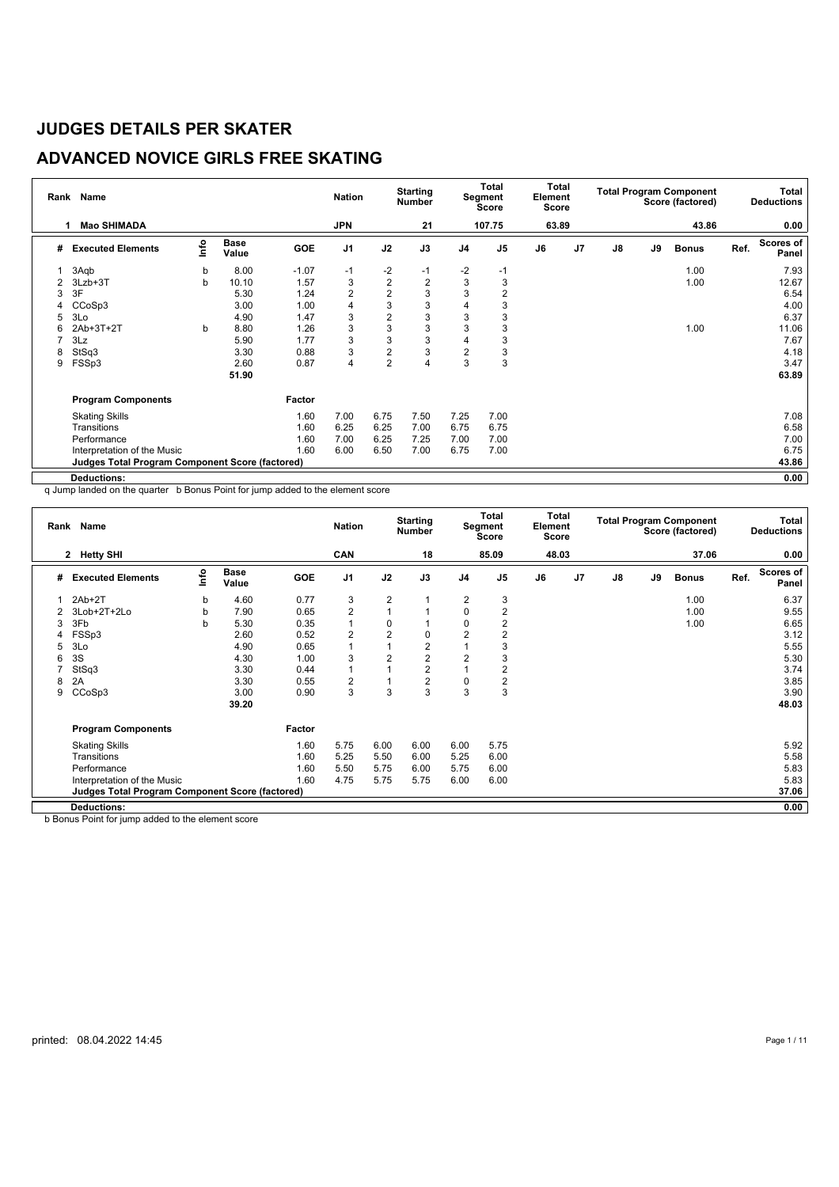## **ADVANCED NOVICE GIRLS FREE SKATING**

| Rank | <b>Name</b>                                            |      |                      |            | <b>Nation</b>  |                | <b>Starting</b><br><b>Number</b> |                | Total<br>Segment<br>Score | Total<br>Element<br>Score |                |               |    | <b>Total Program Component</b><br>Score (factored) |      | <b>Total</b><br><b>Deductions</b> |
|------|--------------------------------------------------------|------|----------------------|------------|----------------|----------------|----------------------------------|----------------|---------------------------|---------------------------|----------------|---------------|----|----------------------------------------------------|------|-----------------------------------|
|      | <b>Mao SHIMADA</b>                                     |      |                      |            | <b>JPN</b>     |                | 21                               |                | 107.75                    | 63.89                     |                |               |    | 43.86                                              |      | 0.00                              |
| #    | <b>Executed Elements</b>                               | info | <b>Base</b><br>Value | <b>GOE</b> | J <sub>1</sub> | J2             | J3                               | J <sub>4</sub> | J <sub>5</sub>            | J6                        | J <sub>7</sub> | $\mathsf{J}8$ | J9 | <b>Bonus</b>                                       | Ref. | Scores of<br>Panel                |
|      | 3Aqb                                                   | b    | 8.00                 | $-1.07$    | $-1$           | $-2$           | $-1$                             | $-2$           | $-1$                      |                           |                |               |    | 1.00                                               |      | 7.93                              |
|      | 3Lzb+3T                                                | b    | 10.10                | 1.57       | 3              | $\mathbf 2$    | $\overline{c}$                   | 3              | 3                         |                           |                |               |    | 1.00                                               |      | 12.67                             |
| 3    | 3F                                                     |      | 5.30                 | 1.24       | 2              | $\overline{2}$ | 3                                | 3              | $\overline{2}$            |                           |                |               |    |                                                    |      | 6.54                              |
|      | CCoSp3                                                 |      | 3.00                 | 1.00       | 4              | 3              | 3                                | 4              | 3                         |                           |                |               |    |                                                    |      | 4.00                              |
| 5    | 3Lo                                                    |      | 4.90                 | 1.47       | 3              | $\overline{2}$ | 3                                | 3              | 3                         |                           |                |               |    |                                                    |      | 6.37                              |
| 6    | 2Ab+3T+2T                                              | b    | 8.80                 | 1.26       | 3              | 3              | 3                                | 3              | 3                         |                           |                |               |    | 1.00                                               |      | 11.06                             |
|      | 3Lz                                                    |      | 5.90                 | 1.77       | 3              | 3              | 3                                | $\overline{4}$ | 3                         |                           |                |               |    |                                                    |      | 7.67                              |
| 8    | StSq3                                                  |      | 3.30                 | 0.88       | 3              | $\overline{2}$ | 3                                | $\overline{2}$ | 3                         |                           |                |               |    |                                                    |      | 4.18                              |
| 9    | FSSp3                                                  |      | 2.60                 | 0.87       | 4              | $\overline{2}$ | 4                                | 3              | 3                         |                           |                |               |    |                                                    |      | 3.47                              |
|      |                                                        |      | 51.90                |            |                |                |                                  |                |                           |                           |                |               |    |                                                    |      | 63.89                             |
|      | <b>Program Components</b>                              |      |                      | Factor     |                |                |                                  |                |                           |                           |                |               |    |                                                    |      |                                   |
|      | <b>Skating Skills</b>                                  |      |                      | 1.60       | 7.00           | 6.75           | 7.50                             | 7.25           | 7.00                      |                           |                |               |    |                                                    |      | 7.08                              |
|      | Transitions                                            |      |                      | 1.60       | 6.25           | 6.25           | 7.00                             | 6.75           | 6.75                      |                           |                |               |    |                                                    |      | 6.58                              |
|      | Performance                                            |      |                      | 1.60       | 7.00           | 6.25           | 7.25                             | 7.00           | 7.00                      |                           |                |               |    |                                                    |      | 7.00                              |
|      | Interpretation of the Music                            |      |                      | 1.60       | 6.00           | 6.50           | 7.00                             | 6.75           | 7.00                      |                           |                |               |    |                                                    |      | 6.75                              |
|      | <b>Judges Total Program Component Score (factored)</b> |      |                      |            |                |                |                                  |                |                           |                           |                |               |    |                                                    |      | 43.86                             |
|      | Deductions:                                            |      |                      |            |                |                |                                  |                |                           |                           |                |               |    |                                                    |      | 0.00                              |

q Jump landed on the quarter b Bonus Point for jump added to the element score

| Rank | Name                                            |          |                      |        | <b>Nation</b>  |                | <b>Starting</b><br><b>Number</b> |                | Total<br>Segment<br><b>Score</b> | Total<br>Element<br>Score |                |               |    | <b>Total Program Component</b><br>Score (factored) |      | Total<br><b>Deductions</b> |
|------|-------------------------------------------------|----------|----------------------|--------|----------------|----------------|----------------------------------|----------------|----------------------------------|---------------------------|----------------|---------------|----|----------------------------------------------------|------|----------------------------|
|      | <b>Hetty SHI</b><br>$\mathbf{2}$                |          |                      |        | CAN            |                | 18                               |                | 85.09                            | 48.03                     |                |               |    | 37.06                                              |      | 0.00                       |
| #    | <b>Executed Elements</b>                        | <b>o</b> | <b>Base</b><br>Value | GOE    | J <sub>1</sub> | J2             | J3                               | J <sub>4</sub> | J <sub>5</sub>                   | J6                        | J <sub>7</sub> | $\mathsf{J}8$ | J9 | <b>Bonus</b>                                       | Ref. | Scores of<br>Panel         |
|      | $2Ab+2T$                                        | b        | 4.60                 | 0.77   | 3              | $\overline{2}$ |                                  | 2              | 3                                |                           |                |               |    | 1.00                                               |      | 6.37                       |
| 2    | 3Lob+2T+2Lo                                     | b        | 7.90                 | 0.65   | $\overline{2}$ | $\overline{1}$ |                                  | 0              | $\overline{2}$                   |                           |                |               |    | 1.00                                               |      | 9.55                       |
| 3    | 3Fb                                             | b        | 5.30                 | 0.35   | 1              | 0              |                                  | $\mathbf 0$    | 2                                |                           |                |               |    | 1.00                                               |      | 6.65                       |
|      | FSSp3                                           |          | 2.60                 | 0.52   | $\overline{2}$ | $\overline{2}$ | 0                                | $\overline{2}$ | $\overline{2}$                   |                           |                |               |    |                                                    |      | 3.12                       |
| 5    | 3Lo                                             |          | 4.90                 | 0.65   | 1              |                | $\overline{c}$                   |                | 3                                |                           |                |               |    |                                                    |      | 5.55                       |
| 6    | 3S                                              |          | 4.30                 | 1.00   | 3              | $\overline{2}$ | $\overline{2}$                   | $\overline{2}$ | 3                                |                           |                |               |    |                                                    |      | 5.30                       |
|      | StSq3                                           |          | 3.30                 | 0.44   | $\mathbf{1}$   |                | $\overline{2}$                   |                | 2                                |                           |                |               |    |                                                    |      | 3.74                       |
| 8    | 2A                                              |          | 3.30                 | 0.55   | 2              |                | 2                                | 0              | 2                                |                           |                |               |    |                                                    |      | 3.85                       |
| 9    | CCoSp3                                          |          | 3.00                 | 0.90   | 3              | 3              | 3                                | 3              | 3                                |                           |                |               |    |                                                    |      | 3.90                       |
|      |                                                 |          | 39.20                |        |                |                |                                  |                |                                  |                           |                |               |    |                                                    |      | 48.03                      |
|      | <b>Program Components</b>                       |          |                      | Factor |                |                |                                  |                |                                  |                           |                |               |    |                                                    |      |                            |
|      | <b>Skating Skills</b>                           |          |                      | 1.60   | 5.75           | 6.00           | 6.00                             | 6.00           | 5.75                             |                           |                |               |    |                                                    |      | 5.92                       |
|      | Transitions                                     |          |                      | 1.60   | 5.25           | 5.50           | 6.00                             | 5.25           | 6.00                             |                           |                |               |    |                                                    |      | 5.58                       |
|      | Performance                                     |          |                      | 1.60   | 5.50           | 5.75           | 6.00                             | 5.75           | 6.00                             |                           |                |               |    |                                                    |      | 5.83                       |
|      | Interpretation of the Music                     |          |                      | 1.60   | 4.75           | 5.75           | 5.75                             | 6.00           | 6.00                             |                           |                |               |    |                                                    |      | 5.83                       |
|      | Judges Total Program Component Score (factored) |          |                      |        |                |                |                                  |                |                                  |                           |                |               |    |                                                    |      | 37.06                      |
|      | <b>Deductions:</b>                              |          |                      |        |                |                |                                  |                |                                  |                           |                |               |    |                                                    |      | 0.00                       |

b Bonus Point for jump added to the element score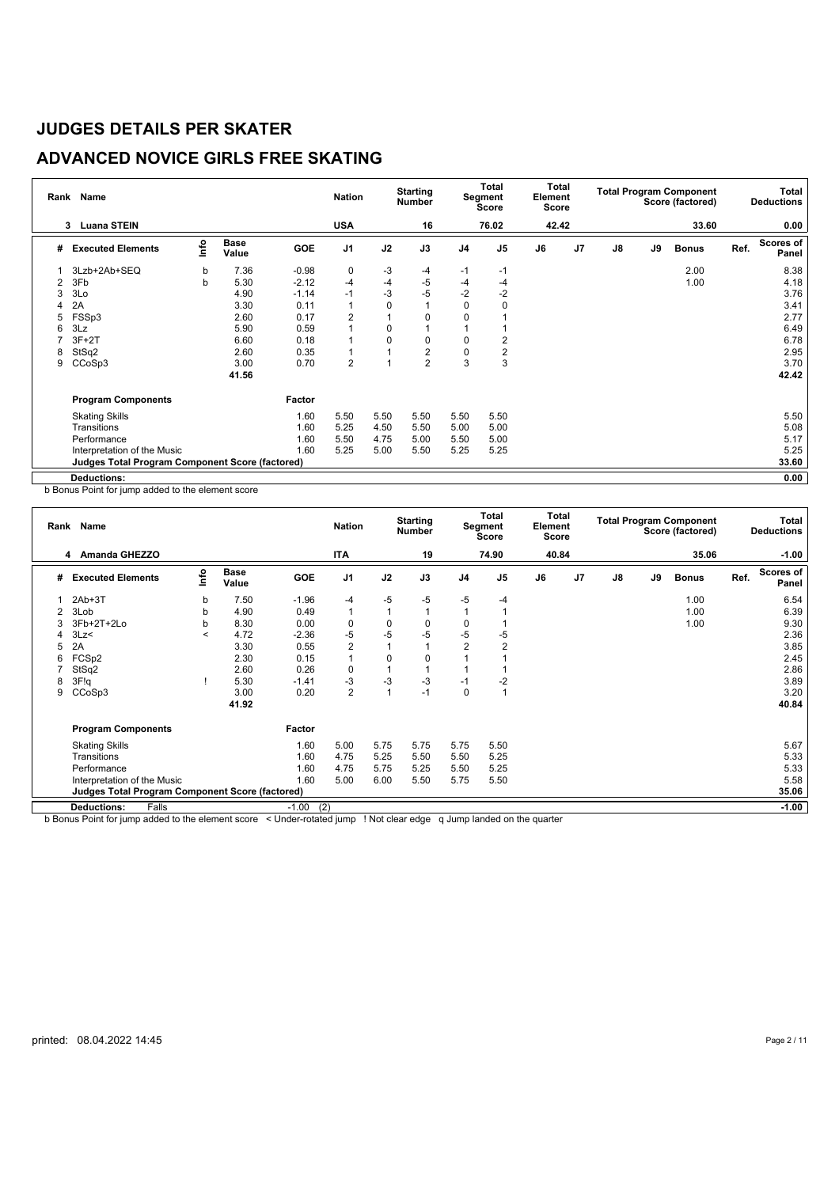## **ADVANCED NOVICE GIRLS FREE SKATING**

|   | Rank Name                                       |      |                      |            | <b>Nation</b>  |             | <b>Starting</b><br><b>Number</b> |                | <b>Total</b><br>Segment<br>Score | Total<br>Element<br>Score |                |               |    | <b>Total Program Component</b><br>Score (factored) |      | Total<br><b>Deductions</b> |
|---|-------------------------------------------------|------|----------------------|------------|----------------|-------------|----------------------------------|----------------|----------------------------------|---------------------------|----------------|---------------|----|----------------------------------------------------|------|----------------------------|
|   | <b>Luana STEIN</b><br>3                         |      |                      |            | <b>USA</b>     |             | 16                               |                | 76.02                            | 42.42                     |                |               |    | 33.60                                              |      | 0.00                       |
| # | <b>Executed Elements</b>                        | lnfo | <b>Base</b><br>Value | <b>GOE</b> | J <sub>1</sub> | J2          | J3                               | J <sub>4</sub> | J <sub>5</sub>                   | J6                        | J <sub>7</sub> | $\mathsf{J}8$ | J9 | <b>Bonus</b>                                       | Ref. | <b>Scores of</b><br>Panel  |
|   | 3Lzb+2Ab+SEQ                                    | b    | 7.36                 | $-0.98$    | 0              | -3          | $-4$                             | $-1$           | -1                               |                           |                |               |    | 2.00                                               |      | 8.38                       |
| 2 | 3Fb                                             | b    | 5.30                 | $-2.12$    | $-4$           | $-4$        | $-5$                             | $-4$           | -4                               |                           |                |               |    | 1.00                                               |      | 4.18                       |
| 3 | 3Lo                                             |      | 4.90                 | $-1.14$    | $-1$           | $-3$        | $-5$                             | $-2$           | $-2$                             |                           |                |               |    |                                                    |      | 3.76                       |
|   | 2A                                              |      | 3.30                 | 0.11       | $\overline{1}$ | $\mathbf 0$ |                                  | 0              | $\Omega$                         |                           |                |               |    |                                                    |      | 3.41                       |
| 5 | FSSp3                                           |      | 2.60                 | 0.17       | $\overline{2}$ | 1           | 0                                | $\mathbf 0$    |                                  |                           |                |               |    |                                                    |      | 2.77                       |
| 6 | 3Lz                                             |      | 5.90                 | 0.59       | 1              | 0           |                                  |                |                                  |                           |                |               |    |                                                    |      | 6.49                       |
|   | $3F+2T$                                         |      | 6.60                 | 0.18       | 1              | 0           | 0                                | $\mathbf 0$    | 2                                |                           |                |               |    |                                                    |      | 6.78                       |
| 8 | StSq2                                           |      | 2.60                 | 0.35       | 1              | 1           | $\overline{2}$                   | 0              | 2                                |                           |                |               |    |                                                    |      | 2.95                       |
| 9 | CCoSp3                                          |      | 3.00                 | 0.70       | $\overline{2}$ | 1           | 2                                | 3              | 3                                |                           |                |               |    |                                                    |      | 3.70                       |
|   |                                                 |      | 41.56                |            |                |             |                                  |                |                                  |                           |                |               |    |                                                    |      | 42.42                      |
|   | <b>Program Components</b>                       |      |                      | Factor     |                |             |                                  |                |                                  |                           |                |               |    |                                                    |      |                            |
|   | <b>Skating Skills</b>                           |      |                      | 1.60       | 5.50           | 5.50        | 5.50                             | 5.50           | 5.50                             |                           |                |               |    |                                                    |      | 5.50                       |
|   | Transitions                                     |      |                      | 1.60       | 5.25           | 4.50        | 5.50                             | 5.00           | 5.00                             |                           |                |               |    |                                                    |      | 5.08                       |
|   | Performance                                     |      |                      | 1.60       | 5.50           | 4.75        | 5.00                             | 5.50           | 5.00                             |                           |                |               |    |                                                    |      | 5.17                       |
|   | Interpretation of the Music                     |      |                      | 1.60       | 5.25           | 5.00        | 5.50                             | 5.25           | 5.25                             |                           |                |               |    |                                                    |      | 5.25                       |
|   | Judges Total Program Component Score (factored) |      |                      |            |                |             |                                  |                |                                  |                           |                |               |    |                                                    |      | 33.60                      |
|   | <b>Deductions:</b>                              |      |                      |            |                |             |                                  |                |                                  |                           |                |               |    |                                                    |      | 0.00                       |

b Bonus Point for jump added to the element score

| Rank | <b>Name</b>                                              |                |                      |                | <b>Nation</b>  |                | <b>Starting</b><br><b>Number</b> |                | Total<br>Segment<br><b>Score</b> | Total<br>Element<br>Score |                |               |    | <b>Total Program Component</b><br>Score (factored) |      | Total<br><b>Deductions</b> |
|------|----------------------------------------------------------|----------------|----------------------|----------------|----------------|----------------|----------------------------------|----------------|----------------------------------|---------------------------|----------------|---------------|----|----------------------------------------------------|------|----------------------------|
|      | 4 Amanda GHEZZO                                          |                |                      |                | <b>ITA</b>     |                | 19                               |                | 74.90                            | 40.84                     |                |               |    | 35.06                                              |      | $-1.00$                    |
| #    | <b>Executed Elements</b>                                 | lnfo           | <b>Base</b><br>Value | GOE            | J <sub>1</sub> | J2             | J3                               | J <sub>4</sub> | J <sub>5</sub>                   | J6                        | J <sub>7</sub> | $\mathsf{J}8$ | J9 | <b>Bonus</b>                                       | Ref. | Scores of<br>Panel         |
|      | $2Ab+3T$                                                 | b              | 7.50                 | $-1.96$        | -4             | -5             | -5                               | -5             | $-4$                             |                           |                |               |    | 1.00                                               |      | 6.54                       |
| 2    | 3Lob                                                     | b              | 4.90                 | 0.49           | $\mathbf{1}$   | 1              |                                  |                |                                  |                           |                |               |    | 1.00                                               |      | 6.39                       |
| 3    | 3Fb+2T+2Lo                                               | b              | 8.30                 | 0.00           | 0              | $\mathbf 0$    | 0                                | 0              |                                  |                           |                |               |    | 1.00                                               |      | 9.30                       |
|      | 3Lz<                                                     | $\overline{a}$ | 4.72                 | $-2.36$        | $-5$           | $-5$           | $-5$                             | -5             | $-5$                             |                           |                |               |    |                                                    |      | 2.36                       |
| 5    | 2A                                                       |                | 3.30                 | 0.55           | $\overline{2}$ |                |                                  | $\overline{2}$ | $\overline{2}$                   |                           |                |               |    |                                                    |      | 3.85                       |
| 6    | FCSp2                                                    |                | 2.30                 | 0.15           | $\mathbf{1}$   | 0              | 0                                |                |                                  |                           |                |               |    |                                                    |      | 2.45                       |
|      | StSq2                                                    |                | 2.60                 | 0.26           | 0              | 1              |                                  |                |                                  |                           |                |               |    |                                                    |      | 2.86                       |
| 8    | 3F!q                                                     |                | 5.30                 | $-1.41$        | -3             | -3             | $-3$                             | $-1$           | $-2$                             |                           |                |               |    |                                                    |      | 3.89                       |
| 9    | CCoSp3                                                   |                | 3.00                 | 0.20           | $\overline{2}$ | $\overline{1}$ | $-1$                             | $\mathbf 0$    |                                  |                           |                |               |    |                                                    |      | 3.20                       |
|      |                                                          |                | 41.92                |                |                |                |                                  |                |                                  |                           |                |               |    |                                                    |      | 40.84                      |
|      | <b>Program Components</b>                                |                |                      | Factor         |                |                |                                  |                |                                  |                           |                |               |    |                                                    |      |                            |
|      | <b>Skating Skills</b>                                    |                |                      | 1.60           | 5.00           | 5.75           | 5.75                             | 5.75           | 5.50                             |                           |                |               |    |                                                    |      | 5.67                       |
|      | Transitions                                              |                |                      | 1.60           | 4.75           | 5.25           | 5.50                             | 5.50           | 5.25                             |                           |                |               |    |                                                    |      | 5.33                       |
|      | Performance                                              |                |                      | 1.60           | 4.75           | 5.75           | 5.25                             | 5.50           | 5.25                             |                           |                |               |    |                                                    |      | 5.33                       |
|      | Interpretation of the Music                              |                |                      | 1.60           | 5.00           | 6.00           | 5.50                             | 5.75           | 5.50                             |                           |                |               |    |                                                    |      | 5.58                       |
|      | 35.06<br>Judges Total Program Component Score (factored) |                |                      |                |                |                |                                  |                |                                  |                           |                |               |    |                                                    |      |                            |
|      | <b>Deductions:</b><br>Falls                              |                |                      | (2)<br>$-1.00$ |                |                |                                  |                |                                  |                           |                |               |    |                                                    |      | $-1.00$                    |

b Bonus Point for jump added to the element score < Under-rotated jump ! Not clear edge q Jump landed on the quarter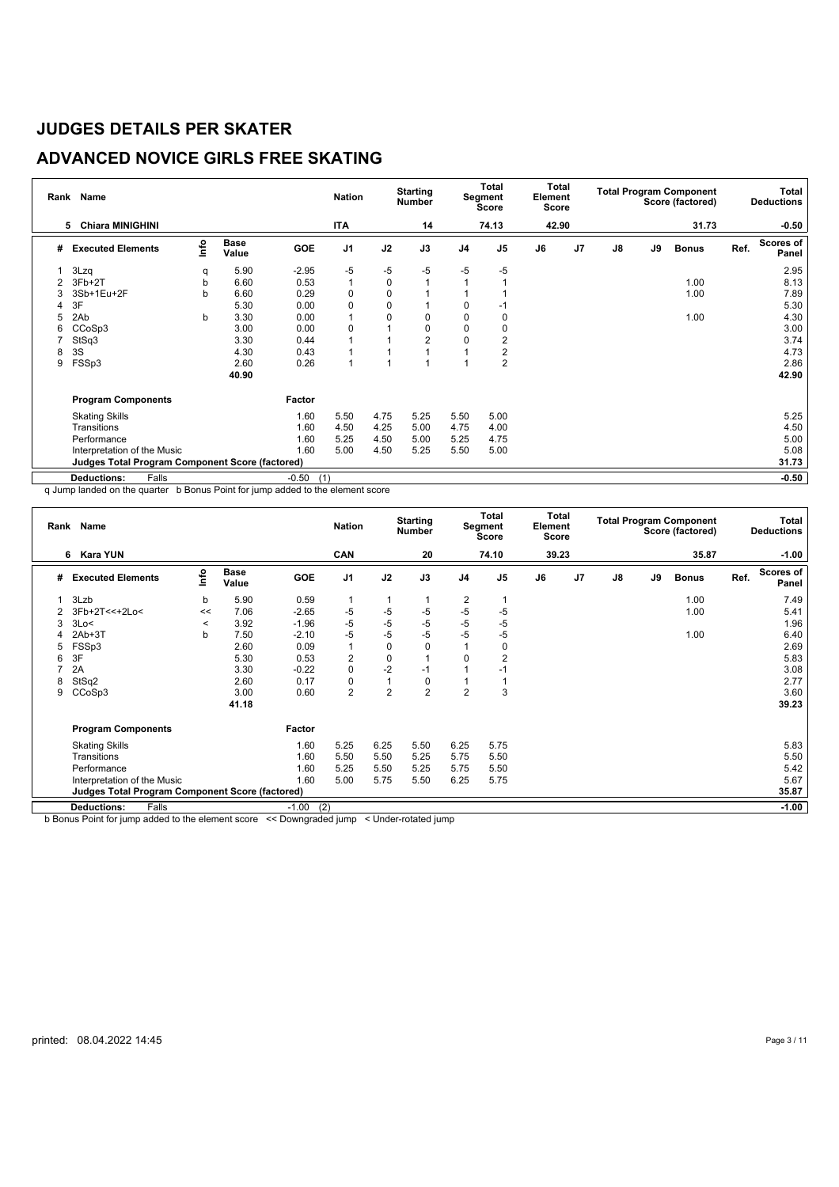## **ADVANCED NOVICE GIRLS FREE SKATING**

| Rank | Name                                                     |      |                      |                | <b>Nation</b>  |      | <b>Starting</b><br><b>Number</b> |                | <b>Total</b><br>Segment<br><b>Score</b> | Total<br>Element<br><b>Score</b> |                |               |    | <b>Total Program Component</b><br>Score (factored) |      | Total<br><b>Deductions</b> |
|------|----------------------------------------------------------|------|----------------------|----------------|----------------|------|----------------------------------|----------------|-----------------------------------------|----------------------------------|----------------|---------------|----|----------------------------------------------------|------|----------------------------|
|      | <b>Chiara MINIGHINI</b><br>5                             |      |                      |                | <b>ITA</b>     |      | 14                               |                | 74.13                                   | 42.90                            |                |               |    | 31.73                                              |      | $-0.50$                    |
| #    | <b>Executed Elements</b>                                 | Info | <b>Base</b><br>Value | GOE            | J <sub>1</sub> | J2   | J3                               | J <sub>4</sub> | J <sub>5</sub>                          | J6                               | J <sub>7</sub> | $\mathsf{J}8$ | J9 | <b>Bonus</b>                                       | Ref. | <b>Scores of</b><br>Panel  |
|      | 3Lzq                                                     | q    | 5.90                 | $-2.95$        | -5             | -5   | $-5$                             | -5             | $-5$                                    |                                  |                |               |    |                                                    |      | 2.95                       |
|      | 3Fb+2T                                                   | b    | 6.60                 | 0.53           | $\mathbf{1}$   | 0    | 1                                |                |                                         |                                  |                |               |    | 1.00                                               |      | 8.13                       |
| 3    | 3Sb+1Eu+2F                                               | b    | 6.60                 | 0.29           | 0              | 0    |                                  |                |                                         |                                  |                |               |    | 1.00                                               |      | 7.89                       |
| 4    | 3F                                                       |      | 5.30                 | 0.00           | $\mathbf 0$    | 0    |                                  | $\Omega$       | -1                                      |                                  |                |               |    |                                                    |      | 5.30                       |
| 5    | 2Ab                                                      | b    | 3.30                 | 0.00           |                | 0    | 0                                | 0              | 0                                       |                                  |                |               |    | 1.00                                               |      | 4.30                       |
| 6    | CCoSp3                                                   |      | 3.00                 | 0.00           | 0              |      | 0                                | $\Omega$       | 0                                       |                                  |                |               |    |                                                    |      | 3.00                       |
|      | StSq3                                                    |      | 3.30                 | 0.44           |                |      | $\overline{2}$                   | 0              | 2                                       |                                  |                |               |    |                                                    |      | 3.74                       |
| 8    | 3S                                                       |      | 4.30                 | 0.43           |                |      |                                  |                | 2                                       |                                  |                |               |    |                                                    |      | 4.73                       |
| 9    | FSSp3                                                    |      | 2.60                 | 0.26           |                |      |                                  |                | $\overline{2}$                          |                                  |                |               |    |                                                    |      | 2.86                       |
|      |                                                          |      | 40.90                |                |                |      |                                  |                |                                         |                                  |                |               |    |                                                    |      | 42.90                      |
|      | <b>Program Components</b>                                |      |                      | Factor         |                |      |                                  |                |                                         |                                  |                |               |    |                                                    |      |                            |
|      | <b>Skating Skills</b>                                    |      |                      | 1.60           | 5.50           | 4.75 | 5.25                             | 5.50           | 5.00                                    |                                  |                |               |    |                                                    |      | 5.25                       |
|      | Transitions                                              |      |                      | 1.60           | 4.50           | 4.25 | 5.00                             | 4.75           | 4.00                                    |                                  |                |               |    |                                                    |      | 4.50                       |
|      | Performance                                              |      |                      | 1.60           | 5.25           | 4.50 | 5.00                             | 5.25           | 4.75                                    |                                  |                |               |    |                                                    |      | 5.00                       |
|      | Interpretation of the Music                              |      |                      | 1.60           | 5.00           | 4.50 | 5.25                             | 5.50           | 5.00                                    |                                  |                |               |    |                                                    |      | 5.08                       |
|      | 31.73<br>Judges Total Program Component Score (factored) |      |                      |                |                |      |                                  |                |                                         |                                  |                |               |    |                                                    |      |                            |
|      | <b>Deductions:</b><br>Falls                              |      |                      | $-0.50$<br>(1) |                |      |                                  |                |                                         |                                  |                |               |    |                                                    |      | $-0.50$                    |

q Jump landed on the quarter b Bonus Point for jump added to the element score

|   | Rank Name                                                       |         |                      |                | <b>Nation</b>  |                | <b>Starting</b><br><b>Number</b> |                | Total<br>Segment<br><b>Score</b> | Total<br>Element<br>Score |                |               |    | <b>Total Program Component</b><br>Score (factored) |      | Total<br><b>Deductions</b> |
|---|-----------------------------------------------------------------|---------|----------------------|----------------|----------------|----------------|----------------------------------|----------------|----------------------------------|---------------------------|----------------|---------------|----|----------------------------------------------------|------|----------------------------|
|   | 6 Kara YUN                                                      |         |                      |                | CAN            |                | 20                               |                | 74.10                            | 39.23                     |                |               |    | 35.87                                              |      | $-1.00$                    |
| # | <b>Executed Elements</b>                                        | lnfo    | <b>Base</b><br>Value | <b>GOE</b>     | J <sub>1</sub> | J2             | J3                               | J <sub>4</sub> | J <sub>5</sub>                   | J6                        | J <sub>7</sub> | $\mathsf{J}8$ | J9 | <b>Bonus</b>                                       | Ref. | <b>Scores of</b><br>Panel  |
| 1 | 3Lzb                                                            | b       | 5.90                 | 0.59           |                |                |                                  | 2              |                                  |                           |                |               |    | 1.00                                               |      | 7.49                       |
|   | 3Fb+2T<<+2Lo<                                                   | <<      | 7.06                 | $-2.65$        | -5             | $-5$           | $-5$                             | -5             | $-5$                             |                           |                |               |    | 1.00                                               |      | 5.41                       |
| 3 | 3Lo<                                                            | $\prec$ | 3.92                 | $-1.96$        | -5             | $-5$           | $-5$                             | -5             | $-5$                             |                           |                |               |    |                                                    |      | 1.96                       |
| 4 | $2Ab+3T$                                                        | b       | 7.50                 | $-2.10$        | $-5$           | $-5$           | $-5$                             | $-5$           | $-5$                             |                           |                |               |    | 1.00                                               |      | 6.40                       |
| 5 | FSSp3                                                           |         | 2.60                 | 0.09           | $\overline{1}$ | 0              | 0                                |                | 0                                |                           |                |               |    |                                                    |      | 2.69                       |
| 6 | 3F                                                              |         | 5.30                 | 0.53           | $\overline{2}$ | $\mathbf 0$    |                                  | $\Omega$       | 2                                |                           |                |               |    |                                                    |      | 5.83                       |
|   | 2A                                                              |         | 3.30                 | $-0.22$        | $\mathbf 0$    | $-2$           | $-1$                             |                | -1                               |                           |                |               |    |                                                    |      | 3.08                       |
| 8 | StSq2                                                           |         | 2.60                 | 0.17           | $\mathbf 0$    | 1              | 0                                |                |                                  |                           |                |               |    |                                                    |      | 2.77                       |
| 9 | CCoSp3                                                          |         | 3.00                 | 0.60           | $\overline{2}$ | $\overline{2}$ | $\overline{2}$                   | $\overline{2}$ | 3                                |                           |                |               |    |                                                    |      | 3.60                       |
|   |                                                                 |         | 41.18                |                |                |                |                                  |                |                                  |                           |                |               |    |                                                    |      | 39.23                      |
|   | <b>Program Components</b>                                       |         |                      | Factor         |                |                |                                  |                |                                  |                           |                |               |    |                                                    |      |                            |
|   | <b>Skating Skills</b>                                           |         |                      | 1.60           | 5.25           | 6.25           | 5.50                             | 6.25           | 5.75                             |                           |                |               |    |                                                    |      | 5.83                       |
|   | Transitions                                                     |         |                      | 1.60           | 5.50           | 5.50           | 5.25                             | 5.75           | 5.50                             |                           |                |               |    |                                                    |      | 5.50                       |
|   | Performance                                                     |         |                      | 1.60           | 5.25           | 5.50           | 5.25                             | 5.75           | 5.50                             |                           |                |               |    |                                                    |      | 5.42                       |
|   | Interpretation of the Music                                     |         |                      | 1.60           | 5.00           | 5.75           | 5.50                             | 6.25           | 5.75                             |                           |                |               |    |                                                    |      | 5.67                       |
|   | 35.87<br><b>Judges Total Program Component Score (factored)</b> |         |                      |                |                |                |                                  |                |                                  |                           |                |               |    |                                                    |      |                            |
|   | <b>Deductions:</b><br>Falls                                     |         |                      | (2)<br>$-1.00$ |                |                |                                  |                |                                  |                           |                |               |    |                                                    |      | $-1.00$                    |

b Bonus Point for jump added to the element score << Downgraded jump < Under-rotated jump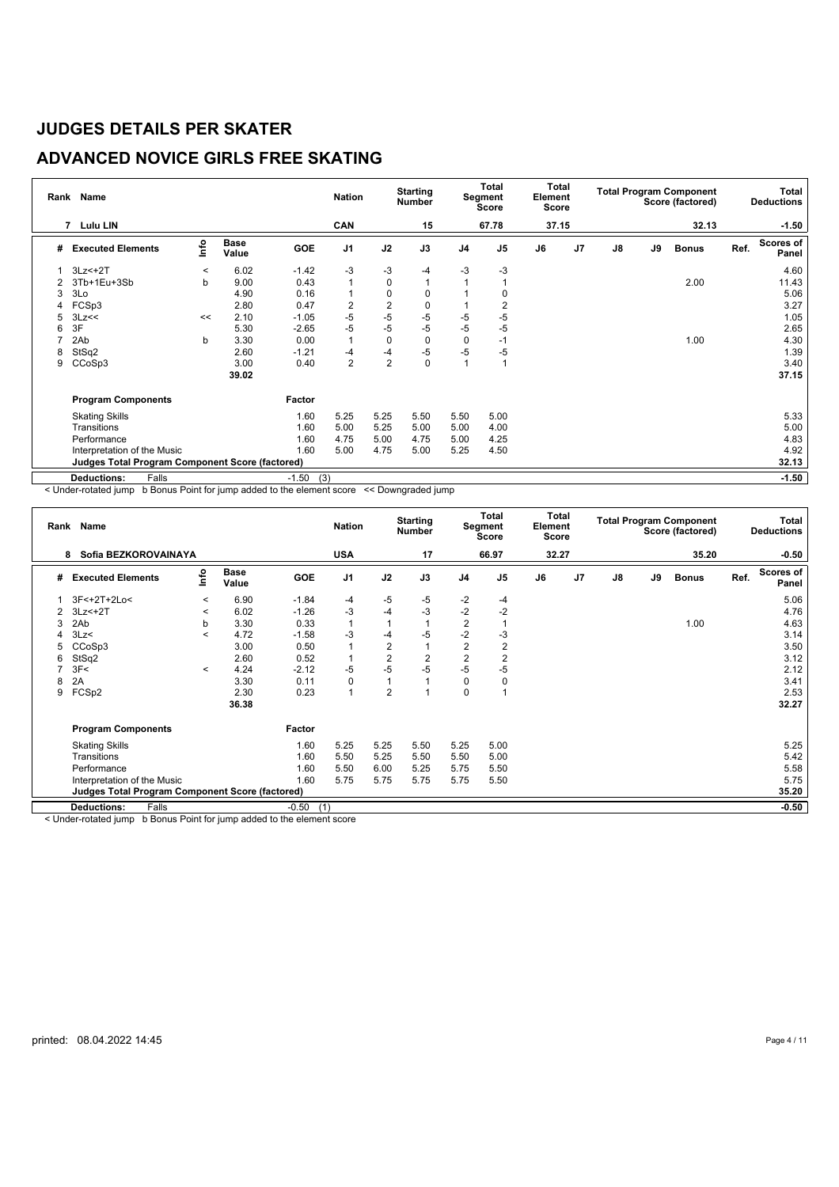## **ADVANCED NOVICE GIRLS FREE SKATING**

| Rank | Name                                                     |         |               |                | <b>Nation</b>  |                | <b>Starting</b><br><b>Number</b> |                | Total<br>Segment<br>Score | Total<br>Element<br>Score |                |    |    | <b>Total Program Component</b><br>Score (factored) |      | <b>Total</b><br><b>Deductions</b> |
|------|----------------------------------------------------------|---------|---------------|----------------|----------------|----------------|----------------------------------|----------------|---------------------------|---------------------------|----------------|----|----|----------------------------------------------------|------|-----------------------------------|
|      | $\overline{7}$<br><b>Lulu LIN</b>                        |         |               |                | CAN            |                | 15                               |                | 67.78                     | 37.15                     |                |    |    | 32.13                                              |      | $-1.50$                           |
| #    | <b>Executed Elements</b>                                 | lnfo    | Base<br>Value | <b>GOE</b>     | J <sub>1</sub> | J2             | J3                               | J <sub>4</sub> | J <sub>5</sub>            | J6                        | J <sub>7</sub> | J8 | J9 | <b>Bonus</b>                                       | Ref. | <b>Scores of</b><br>Panel         |
|      | $3Lz<+2T$                                                | $\,<\,$ | 6.02          | $-1.42$        | -3             | $-3$           | $-4$                             | -3             | $-3$                      |                           |                |    |    |                                                    |      | 4.60                              |
| 2    | 3Tb+1Eu+3Sb                                              | b       | 9.00          | 0.43           | 1              | 0              |                                  |                |                           |                           |                |    |    | 2.00                                               |      | 11.43                             |
| 3    | 3Lo                                                      |         | 4.90          | 0.16           | 1              | 0              | 0                                |                |                           |                           |                |    |    |                                                    |      | 5.06                              |
| 4    | FCSp3                                                    |         | 2.80          | 0.47           | 2              | $\overline{2}$ | 0                                |                | 2                         |                           |                |    |    |                                                    |      | 3.27                              |
|      | 3Lz<<                                                    | <<      | 2.10          | $-1.05$        | $-5$           | $-5$           | $-5$                             | -5             | $-5$                      |                           |                |    |    |                                                    |      | 1.05                              |
| 6    | 3F                                                       |         | 5.30          | $-2.65$        | $-5$           | $-5$           | $-5$                             | $-5$           | $-5$                      |                           |                |    |    |                                                    |      | 2.65                              |
|      | 2Ab                                                      | b       | 3.30          | 0.00           | $\mathbf{1}$   | 0              | 0                                | 0              | $-1$                      |                           |                |    |    | 1.00                                               |      | 4.30                              |
| 8    | StSq2                                                    |         | 2.60          | $-1.21$        | -4             | $-4$           | $-5$                             | $-5$           | $-5$                      |                           |                |    |    |                                                    |      | 1.39                              |
| 9    | CCoSp3                                                   |         | 3.00          | 0.40           | $\overline{2}$ | $\overline{2}$ | 0                                |                |                           |                           |                |    |    |                                                    |      | 3.40                              |
|      |                                                          |         | 39.02         |                |                |                |                                  |                |                           |                           |                |    |    |                                                    |      | 37.15                             |
|      | <b>Program Components</b>                                |         |               | Factor         |                |                |                                  |                |                           |                           |                |    |    |                                                    |      |                                   |
|      | <b>Skating Skills</b>                                    |         |               | 1.60           | 5.25           | 5.25           | 5.50                             | 5.50           | 5.00                      |                           |                |    |    |                                                    |      | 5.33                              |
|      | Transitions                                              |         |               | 1.60           | 5.00           | 5.25           | 5.00                             | 5.00           | 4.00                      |                           |                |    |    |                                                    |      | 5.00                              |
|      | Performance                                              |         |               | 1.60           | 4.75           | 5.00           | 4.75                             | 5.00           | 4.25                      |                           |                |    |    |                                                    |      | 4.83                              |
|      | Interpretation of the Music                              |         |               | 1.60           | 5.00           | 4.75           | 5.00                             | 5.25           | 4.50                      |                           |                |    |    |                                                    |      | 4.92                              |
|      | 32.13<br>Judges Total Program Component Score (factored) |         |               |                |                |                |                                  |                |                           |                           |                |    |    |                                                    |      |                                   |
|      | <b>Deductions:</b><br>Falls                              |         |               | (3)<br>$-1.50$ |                |                |                                  |                |                           |                           |                |    |    |                                                    |      | $-1.50$                           |

< Under-rotated jump b Bonus Point for jump added to the element score << Downgraded jump

|   | Rank Name                                                                                    |         |                      |                                   | <b>Nation</b>  |      | <b>Starting</b><br><b>Number</b> |                | <b>Total</b><br>Segment<br>Score | Total<br>Element<br><b>Score</b> |                |               |    | <b>Total Program Component</b><br>Score (factored) |      | Total<br><b>Deductions</b> |
|---|----------------------------------------------------------------------------------------------|---------|----------------------|-----------------------------------|----------------|------|----------------------------------|----------------|----------------------------------|----------------------------------|----------------|---------------|----|----------------------------------------------------|------|----------------------------|
|   | Sofia BEZKOROVAINAYA<br>8                                                                    |         |                      |                                   | <b>USA</b>     |      | 17                               |                | 66.97                            | 32.27                            |                |               |    | 35.20                                              |      | $-0.50$                    |
| # | <b>Executed Elements</b>                                                                     | lnfo    | <b>Base</b><br>Value | GOE                               | J <sub>1</sub> | J2   | J3                               | J <sub>4</sub> | J <sub>5</sub>                   | J6                               | J <sub>7</sub> | $\mathsf{J}8$ | J9 | <b>Bonus</b>                                       | Ref. | <b>Scores of</b><br>Panel  |
|   | 3F<+2T+2Lo<                                                                                  | $\prec$ | 6.90                 | $-1.84$                           | $-4$           | -5   | $-5$                             | $-2$           | -4                               |                                  |                |               |    |                                                    |      | 5.06                       |
|   | $3Lz<+2T$                                                                                    | $\,<\,$ | 6.02                 | $-1.26$                           | $-3$           | -4   | -3                               | $-2$           | $-2$                             |                                  |                |               |    |                                                    |      | 4.76                       |
| 3 | 2Ab                                                                                          | b       | 3.30                 | 0.33                              | $\mathbf{1}$   |      | 1                                | $\overline{2}$ |                                  |                                  |                |               |    | 1.00                                               |      | 4.63                       |
| 4 | 3Lz<                                                                                         | $\,<\,$ | 4.72                 | $-1.58$                           | $-3$           | -4   | -5                               | $-2$           | -3                               |                                  |                |               |    |                                                    |      | 3.14                       |
| 5 | CCoSp3                                                                                       |         | 3.00                 | 0.50                              | 1              | 2    | 1                                | $\overline{2}$ | 2                                |                                  |                |               |    |                                                    |      | 3.50                       |
| 6 | StSq2                                                                                        |         | 2.60                 | 0.52                              | 1              | 2    | $\overline{2}$                   | $\overline{2}$ | 2                                |                                  |                |               |    |                                                    |      | 3.12                       |
|   | 3F<                                                                                          | $\prec$ | 4.24                 | $-2.12$                           | $-5$           | $-5$ | $-5$                             | $-5$           | -5                               |                                  |                |               |    |                                                    |      | 2.12                       |
| 8 | 2A                                                                                           |         | 3.30                 | 0.11                              | 0              |      |                                  | 0              | 0                                |                                  |                |               |    |                                                    |      | 3.41                       |
| 9 | FCSp2                                                                                        |         | 2.30                 | 0.23                              | $\mathbf{1}$   | 2    |                                  | 0              |                                  |                                  |                |               |    |                                                    |      | 2.53                       |
|   |                                                                                              |         | 36.38                |                                   |                |      |                                  |                |                                  |                                  |                |               |    |                                                    |      | 32.27                      |
|   | <b>Program Components</b>                                                                    |         |                      | Factor                            |                |      |                                  |                |                                  |                                  |                |               |    |                                                    |      |                            |
|   | <b>Skating Skills</b>                                                                        |         |                      | 1.60                              | 5.25           | 5.25 | 5.50                             | 5.25           | 5.00                             |                                  |                |               |    |                                                    |      | 5.25                       |
|   | Transitions                                                                                  |         |                      | 1.60                              | 5.50           | 5.25 | 5.50                             | 5.50           | 5.00                             |                                  |                |               |    |                                                    |      | 5.42                       |
|   | Performance                                                                                  |         |                      | 1.60                              | 5.50           | 6.00 | 5.25                             | 5.75           | 5.50                             |                                  |                |               |    |                                                    |      | 5.58                       |
|   | Interpretation of the Music                                                                  |         |                      | 1.60                              | 5.75           | 5.75 | 5.75                             | 5.75           | 5.50                             |                                  |                |               |    |                                                    |      | 5.75                       |
|   | <b>Judges Total Program Component Score (factored)</b>                                       |         |                      |                                   |                |      |                                  |                |                                  |                                  |                |               |    |                                                    |      | 35.20                      |
|   | $-0.50$<br>(1)<br><b>Deductions:</b><br>Falls                                                |         |                      |                                   |                |      |                                  |                |                                  |                                  |                |               |    | $-0.50$                                            |      |                            |
|   | <b>In Provident Professional Contract Contract</b><br>a 1 ha al a a ma tha tha al fan ann an |         |                      | to all also all the others in the |                |      |                                  |                |                                  |                                  |                |               |    |                                                    |      |                            |

< Under-rotated jump b Bonus Point for jump added to the element score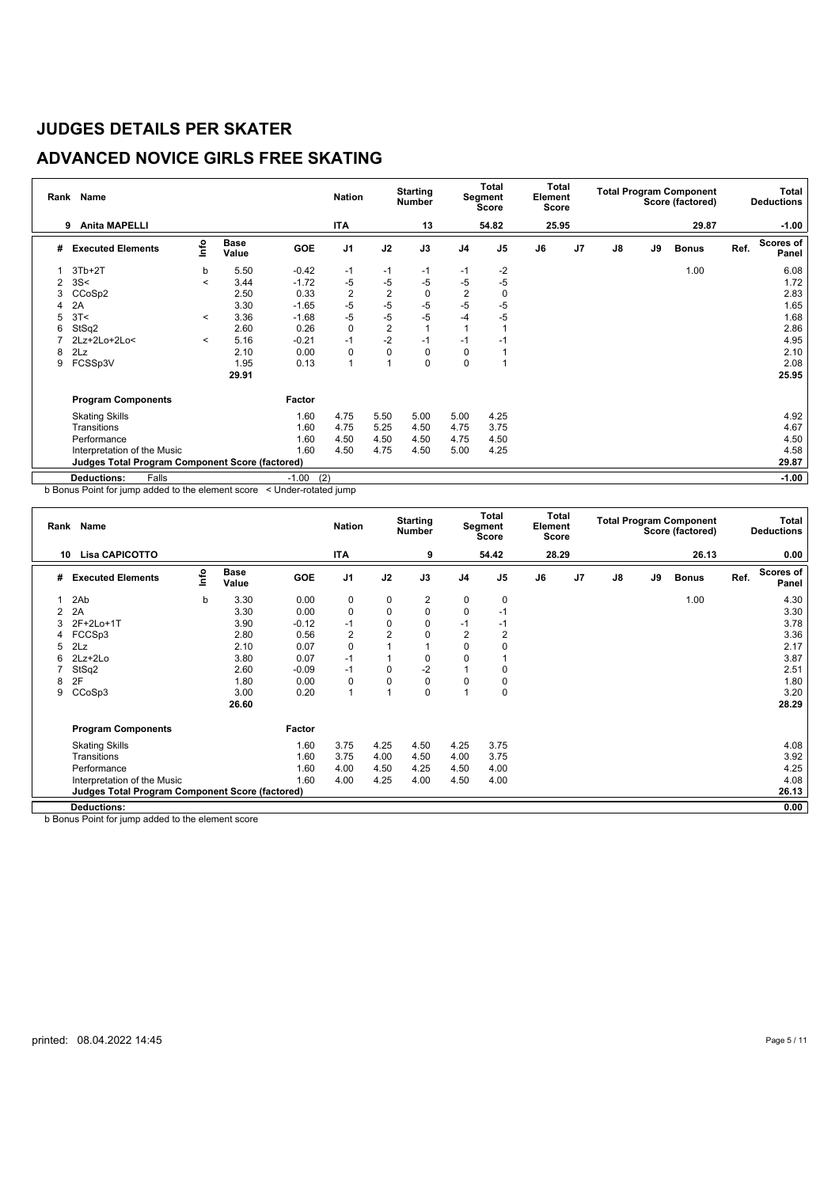## **ADVANCED NOVICE GIRLS FREE SKATING**

| Rank | Name                                                   |         |                      |                | <b>Nation</b>  |                | <b>Starting</b><br><b>Number</b> |                | <b>Total</b><br>Segment<br><b>Score</b> | <b>Total</b><br>Element<br><b>Score</b> |                |    |    | <b>Total Program Component</b><br>Score (factored) |      | <b>Total</b><br><b>Deductions</b> |
|------|--------------------------------------------------------|---------|----------------------|----------------|----------------|----------------|----------------------------------|----------------|-----------------------------------------|-----------------------------------------|----------------|----|----|----------------------------------------------------|------|-----------------------------------|
|      | <b>Anita MAPELLI</b><br>9                              |         |                      |                | <b>ITA</b>     |                | 13                               |                | 54.82                                   | 25.95                                   |                |    |    | 29.87                                              |      | $-1.00$                           |
| #    | <b>Executed Elements</b>                               | lnfo    | <b>Base</b><br>Value | <b>GOE</b>     | J <sub>1</sub> | J2             | J3                               | J <sub>4</sub> | J <sub>5</sub>                          | J6                                      | J <sub>7</sub> | J8 | J9 | <b>Bonus</b>                                       | Ref. | Scores of<br>Panel                |
|      | $3Tb+2T$                                               | b       | 5.50                 | $-0.42$        | $-1$           | -1             | $-1$                             | $-1$           | $-2$                                    |                                         |                |    |    | 1.00                                               |      | 6.08                              |
| 2    | 3S<                                                    | $\,<\,$ | 3.44                 | $-1.72$        | -5             | $-5$           | $-5$                             | -5             | $-5$                                    |                                         |                |    |    |                                                    |      | 1.72                              |
| 3    | CCoSp2                                                 |         | 2.50                 | 0.33           | $\sqrt{2}$     | $\overline{2}$ | 0                                | $\overline{2}$ | 0                                       |                                         |                |    |    |                                                    |      | 2.83                              |
| Δ    | 2A                                                     |         | 3.30                 | $-1.65$        | $-5$           | $-5$           | $-5$                             | -5             | $-5$                                    |                                         |                |    |    |                                                    |      | 1.65                              |
| 5    | 3T<                                                    | $\,<\,$ | 3.36                 | $-1.68$        | $-5$           | $-5$           | $-5$                             | -4             | $-5$                                    |                                         |                |    |    |                                                    |      | 1.68                              |
| 6    | StSq2                                                  |         | 2.60                 | 0.26           | $\mathbf 0$    | $\overline{2}$ | 1                                |                |                                         |                                         |                |    |    |                                                    |      | 2.86                              |
|      | 2Lz+2Lo+2Lo<                                           | $\prec$ | 5.16                 | $-0.21$        | $-1$           | $-2$           | $-1$                             | $-1$           | -1                                      |                                         |                |    |    |                                                    |      | 4.95                              |
| 8    | 2Lz                                                    |         | 2.10                 | 0.00           | $\mathbf 0$    | 0              | 0                                | $\mathbf 0$    |                                         |                                         |                |    |    |                                                    |      | 2.10                              |
| 9    | FCSSp3V                                                |         | 1.95                 | 0.13           | $\overline{A}$ | 1              | 0                                | $\mathbf 0$    |                                         |                                         |                |    |    |                                                    |      | 2.08                              |
|      |                                                        |         | 29.91                |                |                |                |                                  |                |                                         |                                         |                |    |    |                                                    |      | 25.95                             |
|      | <b>Program Components</b>                              |         |                      | Factor         |                |                |                                  |                |                                         |                                         |                |    |    |                                                    |      |                                   |
|      | <b>Skating Skills</b>                                  |         |                      | 1.60           | 4.75           | 5.50           | 5.00                             | 5.00           | 4.25                                    |                                         |                |    |    |                                                    |      | 4.92                              |
|      | Transitions                                            |         |                      | 1.60           | 4.75           | 5.25           | 4.50                             | 4.75           | 3.75                                    |                                         |                |    |    |                                                    |      | 4.67                              |
|      | Performance                                            |         |                      | 1.60           | 4.50           | 4.50           | 4.50                             | 4.75           | 4.50                                    |                                         |                |    |    |                                                    |      | 4.50                              |
|      | Interpretation of the Music                            |         |                      | 1.60           | 4.50           | 4.75           | 4.50                             | 5.00           | 4.25                                    |                                         |                |    |    |                                                    |      | 4.58                              |
|      | <b>Judges Total Program Component Score (factored)</b> |         |                      |                |                |                |                                  |                |                                         |                                         |                |    |    |                                                    |      | 29.87                             |
|      | <b>Deductions:</b><br>Falls                            |         |                      | (2)<br>$-1.00$ |                |                |                                  |                |                                         |                                         |                |    |    |                                                    |      | $-1.00$                           |

b Bonus Point for jump added to the element score < Under-rotated jump

|    | Rank Name                                                                                          |             |                      |            | <b>Nation</b>  |                | <b>Starting</b><br><b>Number</b> |                | <b>Total</b><br>Segment<br>Score | <b>Total</b><br>Element<br>Score |                |    |    | <b>Total Program Component</b><br>Score (factored) |      | Total<br><b>Deductions</b> |
|----|----------------------------------------------------------------------------------------------------|-------------|----------------------|------------|----------------|----------------|----------------------------------|----------------|----------------------------------|----------------------------------|----------------|----|----|----------------------------------------------------|------|----------------------------|
| 10 | <b>Lisa CAPICOTTO</b>                                                                              |             |                      |            | <b>ITA</b>     |                | 9                                |                | 54.42                            | 28.29                            |                |    |    | 26.13                                              |      | 0.00                       |
| #  | <b>Executed Elements</b>                                                                           | lnfo        | <b>Base</b><br>Value | <b>GOE</b> | J <sub>1</sub> | J2             | J3                               | J <sub>4</sub> | J <sub>5</sub>                   | J6                               | J <sub>7</sub> | J8 | J9 | <b>Bonus</b>                                       | Ref. | Scores of<br>Panel         |
|    | 2Ab                                                                                                | $\mathbf b$ | 3.30                 | 0.00       | 0              | $\mathbf 0$    | 2                                | 0              | 0                                |                                  |                |    |    | 1.00                                               |      | 4.30                       |
|    | 2A                                                                                                 |             | 3.30                 | 0.00       | $\mathbf 0$    | $\mathbf 0$    | 0                                | $\Omega$       | $-1$                             |                                  |                |    |    |                                                    |      | 3.30                       |
|    | 2F+2Lo+1T                                                                                          |             | 3.90                 | $-0.12$    | $-1$           | $\mathbf 0$    | 0                                | -1             | $-1$                             |                                  |                |    |    |                                                    |      | 3.78                       |
| 4  | FCCSp3                                                                                             |             | 2.80                 | 0.56       | $\overline{2}$ | $\overline{2}$ | 0                                | $\overline{2}$ | 2                                |                                  |                |    |    |                                                    |      | 3.36                       |
| 5  | 2Lz                                                                                                |             | 2.10                 | 0.07       | $\mathbf 0$    |                |                                  | 0              | 0                                |                                  |                |    |    |                                                    |      | 2.17                       |
| 6  | $2Lz + 2Lo$                                                                                        |             | 3.80                 | 0.07       | $-1$           |                | 0                                | 0              |                                  |                                  |                |    |    |                                                    |      | 3.87                       |
|    | StSq2                                                                                              |             | 2.60                 | $-0.09$    | $-1$           | $\Omega$       | $-2$                             |                | 0                                |                                  |                |    |    |                                                    |      | 2.51                       |
| 8  | 2F                                                                                                 |             | 1.80                 | 0.00       | 0              | $\Omega$       | 0                                | $\Omega$       | 0                                |                                  |                |    |    |                                                    |      | 1.80                       |
| 9  | CCoSp3                                                                                             |             | 3.00                 | 0.20       | $\overline{1}$ |                | 0                                | 4              | 0                                |                                  |                |    |    |                                                    |      | 3.20                       |
|    |                                                                                                    |             | 26.60                |            |                |                |                                  |                |                                  |                                  |                |    |    |                                                    |      | 28.29                      |
|    | <b>Program Components</b>                                                                          |             |                      | Factor     |                |                |                                  |                |                                  |                                  |                |    |    |                                                    |      |                            |
|    | <b>Skating Skills</b>                                                                              |             |                      | 1.60       | 3.75           | 4.25           | 4.50                             | 4.25           | 3.75                             |                                  |                |    |    |                                                    |      | 4.08                       |
|    | Transitions                                                                                        |             |                      | 1.60       | 3.75           | 4.00           | 4.50                             | 4.00           | 3.75                             |                                  |                |    |    |                                                    |      | 3.92                       |
|    | Performance                                                                                        |             |                      | 1.60       | 4.00           | 4.50           | 4.25                             | 4.50           | 4.00                             |                                  |                |    |    |                                                    |      | 4.25                       |
|    | Interpretation of the Music                                                                        |             |                      | 1.60       | 4.00           | 4.25           | 4.00                             | 4.50           | 4.00                             |                                  |                |    |    |                                                    |      | 4.08                       |
|    | <b>Judges Total Program Component Score (factored)</b>                                             |             |                      |            |                |                |                                  |                |                                  |                                  |                |    |    |                                                    |      | 26.13                      |
|    | <b>Deductions:</b>                                                                                 |             |                      |            |                |                |                                  |                |                                  |                                  |                |    |    |                                                    |      | 0.00                       |
|    | $\mathbf{r}$ , $\mathbf{r}$ , $\mathbf{r}$ , $\mathbf{r}$ , $\mathbf{r}$ , $\mathbf{r}$<br>- - - - |             |                      |            |                |                |                                  |                |                                  |                                  |                |    |    |                                                    |      |                            |

b Bonus Point for jump added to the element score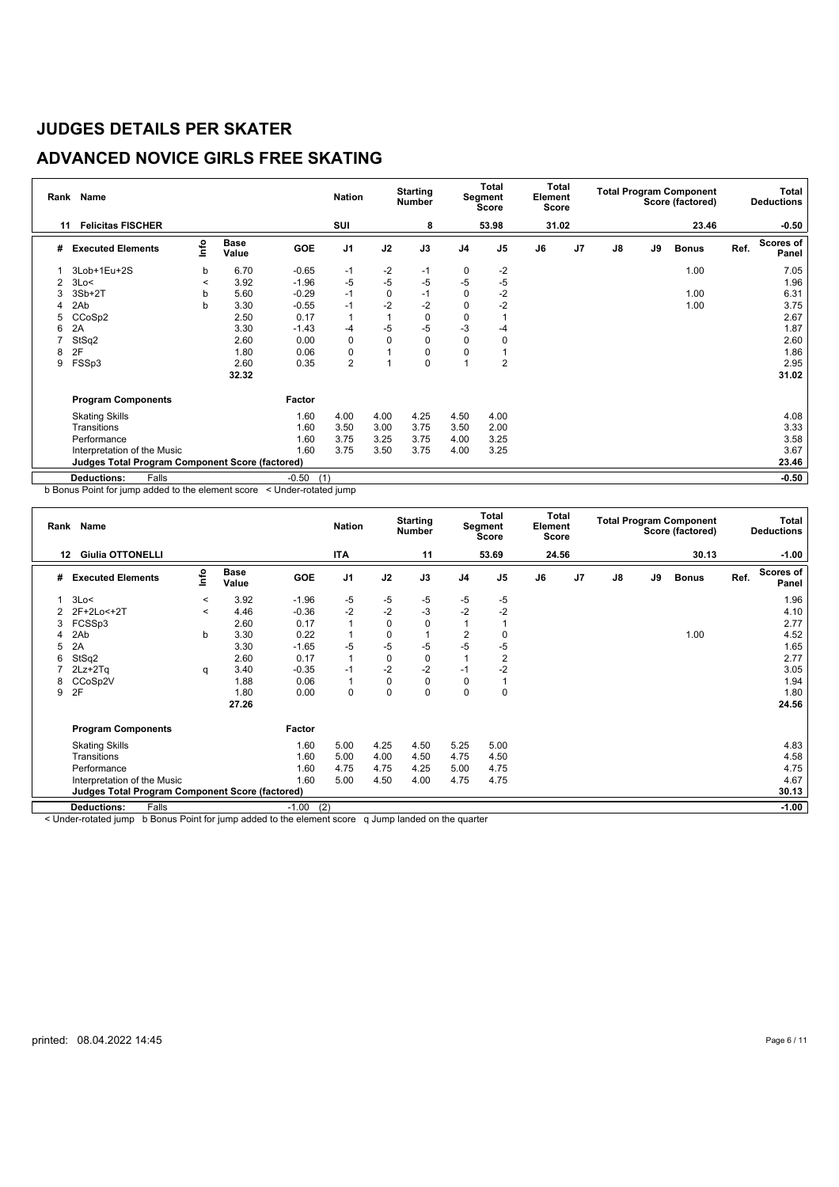## **ADVANCED NOVICE GIRLS FREE SKATING**

| Rank | Name                                            |         |                      |                | <b>Nation</b>  |      | <b>Starting</b><br><b>Number</b> |                | Total<br>Segment<br><b>Score</b> | Total<br>Element<br><b>Score</b> |                |               |    | <b>Total Program Component</b><br>Score (factored) |      | <b>Total</b><br><b>Deductions</b> |
|------|-------------------------------------------------|---------|----------------------|----------------|----------------|------|----------------------------------|----------------|----------------------------------|----------------------------------|----------------|---------------|----|----------------------------------------------------|------|-----------------------------------|
| 11   | <b>Felicitas FISCHER</b>                        |         |                      |                | SUI            |      | 8                                |                | 53.98                            | 31.02                            |                |               |    | 23.46                                              |      | $-0.50$                           |
| #    | <b>Executed Elements</b>                        | lnfo    | <b>Base</b><br>Value | <b>GOE</b>     | J <sub>1</sub> | J2   | J3                               | J <sub>4</sub> | J <sub>5</sub>                   | J6                               | J <sub>7</sub> | $\mathsf{J}8$ | J9 | <b>Bonus</b>                                       | Ref. | Scores of<br>Panel                |
|      | 3Lob+1Eu+2S                                     | b       | 6.70                 | $-0.65$        | $-1$           | $-2$ | $-1$                             | 0              | $-2$                             |                                  |                |               |    | 1.00                                               |      | 7.05                              |
| 2    | 3Lo<                                            | $\,<\,$ | 3.92                 | $-1.96$        | -5             | $-5$ | $-5$                             | -5             | -5                               |                                  |                |               |    |                                                    |      | 1.96                              |
|      | $3Sb+2T$                                        | b       | 5.60                 | $-0.29$        | $-1$           | 0    | $-1$                             | 0              | $-2$                             |                                  |                |               |    | 1.00                                               |      | 6.31                              |
|      | 2Ab                                             | b       | 3.30                 | $-0.55$        | $-1$           | $-2$ | $-2$                             | $\Omega$       | $-2$                             |                                  |                |               |    | 1.00                                               |      | 3.75                              |
| 5    | CCoSp2                                          |         | 2.50                 | 0.17           |                |      | 0                                | $\Omega$       |                                  |                                  |                |               |    |                                                    |      | 2.67                              |
| 6    | 2A                                              |         | 3.30                 | $-1.43$        | $-4$           | $-5$ | $-5$                             | -3             | $-4$                             |                                  |                |               |    |                                                    |      | 1.87                              |
|      | StSq2                                           |         | 2.60                 | 0.00           | 0              | 0    | 0                                | $\mathbf 0$    | 0                                |                                  |                |               |    |                                                    |      | 2.60                              |
| 8    | 2F                                              |         | 1.80                 | 0.06           | $\mathbf 0$    |      | 0                                | 0              |                                  |                                  |                |               |    |                                                    |      | 1.86                              |
| 9    | FSSp3                                           |         | 2.60                 | 0.35           | $\overline{2}$ |      | 0                                |                | 2                                |                                  |                |               |    |                                                    |      | 2.95                              |
|      |                                                 |         | 32.32                |                |                |      |                                  |                |                                  |                                  |                |               |    |                                                    |      | 31.02                             |
|      | <b>Program Components</b>                       |         |                      | Factor         |                |      |                                  |                |                                  |                                  |                |               |    |                                                    |      |                                   |
|      | <b>Skating Skills</b>                           |         |                      | 1.60           | 4.00           | 4.00 | 4.25                             | 4.50           | 4.00                             |                                  |                |               |    |                                                    |      | 4.08                              |
|      | Transitions                                     |         |                      | 1.60           | 3.50           | 3.00 | 3.75                             | 3.50           | 2.00                             |                                  |                |               |    |                                                    |      | 3.33                              |
|      | Performance                                     |         |                      | 1.60           | 3.75           | 3.25 | 3.75                             | 4.00           | 3.25                             |                                  |                |               |    |                                                    |      | 3.58                              |
|      | Interpretation of the Music                     |         |                      | 1.60           | 3.75           | 3.50 | 3.75                             | 4.00           | 3.25                             |                                  |                |               |    |                                                    |      | 3.67                              |
|      | Judges Total Program Component Score (factored) |         |                      |                |                |      |                                  |                |                                  |                                  |                |               |    |                                                    |      | 23.46                             |
|      | Falls<br><b>Deductions:</b>                     |         |                      | $-0.50$<br>(1) |                |      |                                  |                |                                  |                                  |                |               |    |                                                    |      | $-0.50$                           |

b Bonus Point for jump added to the element score < Under-rotated jump

|   | Rank Name                                              |         |                      |         | <b>Nation</b>  |             | <b>Starting</b><br><b>Number</b> |                | <b>Total</b><br>Segment<br><b>Score</b> | <b>Total</b><br>Element<br><b>Score</b> |                |    |    | <b>Total Program Component</b><br>Score (factored) |      | Total<br><b>Deductions</b> |
|---|--------------------------------------------------------|---------|----------------------|---------|----------------|-------------|----------------------------------|----------------|-----------------------------------------|-----------------------------------------|----------------|----|----|----------------------------------------------------|------|----------------------------|
|   | <b>Giulia OTTONELLI</b><br>12                          |         |                      |         | <b>ITA</b>     |             | 11                               |                | 53.69                                   | 24.56                                   |                |    |    | 30.13                                              |      | $-1.00$                    |
| # | <b>Executed Elements</b>                               | lnfo    | <b>Base</b><br>Value | GOE     | J <sub>1</sub> | J2          | J3                               | J <sub>4</sub> | J <sub>5</sub>                          | J6                                      | J <sub>7</sub> | J8 | J9 | <b>Bonus</b>                                       | Ref. | <b>Scores of</b><br>Panel  |
|   | 3Lo<                                                   | $\,<\,$ | 3.92                 | $-1.96$ | -5             | -5          | -5                               | -5             | -5                                      |                                         |                |    |    |                                                    |      | 1.96                       |
|   | 2F+2Lo<+2T                                             | $\prec$ | 4.46                 | $-0.36$ | $-2$           | $-2$        | -3                               | $-2$           | $-2$                                    |                                         |                |    |    |                                                    |      | 4.10                       |
|   | FCSSp3                                                 |         | 2.60                 | 0.17    | $\mathbf{1}$   | $\mathbf 0$ | 0                                |                |                                         |                                         |                |    |    |                                                    |      | 2.77                       |
|   | 2Ab                                                    | b       | 3.30                 | 0.22    | $\mathbf 1$    | 0           | 1                                | 2              | 0                                       |                                         |                |    |    | 1.00                                               |      | 4.52                       |
| 5 | 2A                                                     |         | 3.30                 | $-1.65$ | $-5$           | -5          | -5                               | -5             | -5                                      |                                         |                |    |    |                                                    |      | 1.65                       |
| 6 | StSq2                                                  |         | 2.60                 | 0.17    | $\overline{1}$ | $\mathbf 0$ | 0                                |                | $\overline{2}$                          |                                         |                |    |    |                                                    |      | 2.77                       |
|   | $2Lz + 2Tq$                                            | q       | 3.40                 | $-0.35$ | $-1$           | $-2$        | $-2$                             | $-1$           | $-2$                                    |                                         |                |    |    |                                                    |      | 3.05                       |
| 8 | CCoSp2V                                                |         | 1.88                 | 0.06    | $\overline{1}$ | $\mathbf 0$ | 0                                | $\Omega$       |                                         |                                         |                |    |    |                                                    |      | 1.94                       |
| 9 | 2F                                                     |         | 1.80                 | 0.00    | $\mathbf 0$    | $\mathbf 0$ | 0                                | $\Omega$       | 0                                       |                                         |                |    |    |                                                    |      | 1.80                       |
|   |                                                        |         | 27.26                |         |                |             |                                  |                |                                         |                                         |                |    |    |                                                    |      | 24.56                      |
|   | <b>Program Components</b>                              |         |                      | Factor  |                |             |                                  |                |                                         |                                         |                |    |    |                                                    |      |                            |
|   | <b>Skating Skills</b>                                  |         |                      | 1.60    | 5.00           | 4.25        | 4.50                             | 5.25           | 5.00                                    |                                         |                |    |    |                                                    |      | 4.83                       |
|   | Transitions                                            |         |                      | 1.60    | 5.00           | 4.00        | 4.50                             | 4.75           | 4.50                                    |                                         |                |    |    |                                                    |      | 4.58                       |
|   | Performance                                            |         |                      | 1.60    | 4.75           | 4.75        | 4.25                             | 5.00           | 4.75                                    |                                         |                |    |    |                                                    |      | 4.75                       |
|   | Interpretation of the Music                            |         |                      | 1.60    | 5.00           | 4.50        | 4.00                             | 4.75           | 4.75                                    |                                         |                |    |    |                                                    |      | 4.67                       |
|   | <b>Judges Total Program Component Score (factored)</b> |         |                      |         |                |             |                                  |                |                                         |                                         |                |    |    | 30.13                                              |      |                            |
|   | Falls<br><b>Deductions:</b>                            |         |                      | $-1.00$ | (2)            |             |                                  |                |                                         |                                         |                |    |    |                                                    |      | $-1.00$                    |

< Under-rotated jump b Bonus Point for jump added to the element score q Jump landed on the quarter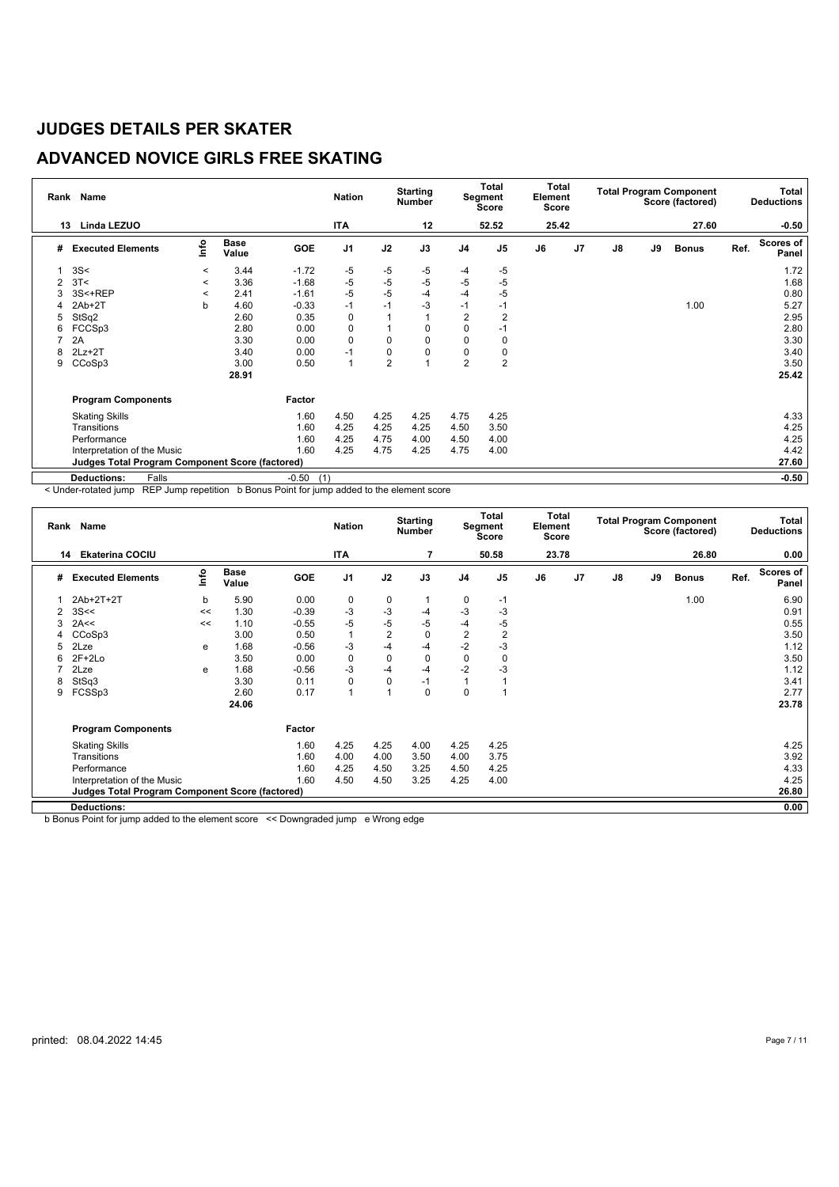## **ADVANCED NOVICE GIRLS FREE SKATING**

| Rank | Name                                            |         | <b>Nation</b> |                | <b>Starting</b><br><b>Number</b> |                | Total<br>Segment<br>Score | Total<br>Element<br>Score |                |       |                | <b>Total Program Component</b><br>Score (factored) |    | <b>Total</b><br><b>Deductions</b> |      |                           |
|------|-------------------------------------------------|---------|---------------|----------------|----------------------------------|----------------|---------------------------|---------------------------|----------------|-------|----------------|----------------------------------------------------|----|-----------------------------------|------|---------------------------|
| 13   | <b>Linda LEZUO</b>                              |         |               |                | <b>ITA</b>                       |                | 12                        |                           | 52.52          | 25.42 |                |                                                    |    | 27.60                             |      | $-0.50$                   |
| #    | <b>Executed Elements</b>                        | lnfo    | Base<br>Value | <b>GOE</b>     | J <sub>1</sub>                   | J2             | J3                        | J <sub>4</sub>            | J <sub>5</sub> | J6    | J <sub>7</sub> | J8                                                 | J9 | <b>Bonus</b>                      | Ref. | <b>Scores of</b><br>Panel |
|      | 3S<                                             | $\,<\,$ | 3.44          | $-1.72$        | -5                               | -5             | -5                        | $-4$                      | $-5$           |       |                |                                                    |    |                                   |      | 1.72                      |
| 2    | 3T<                                             | $\,<\,$ | 3.36          | $-1.68$        | -5                               | $-5$           | -5                        | -5                        | $-5$           |       |                |                                                    |    |                                   |      | 1.68                      |
| 3    | 3S<+REP                                         | $\,<\,$ | 2.41          | $-1.61$        | $-5$                             | $-5$           | $-4$                      | $-4$                      | $-5$           |       |                |                                                    |    |                                   |      | 0.80                      |
| 4    | $2Ab+2T$                                        | b       | 4.60          | $-0.33$        | $-1$                             | $-1$           | $-3$                      | $-1$                      | $-1$           |       |                |                                                    |    | 1.00                              |      | 5.27                      |
| 5    | StSq2                                           |         | 2.60          | 0.35           | 0                                |                |                           | 2                         | 2              |       |                |                                                    |    |                                   |      | 2.95                      |
| 6    | FCCSp3                                          |         | 2.80          | 0.00           | 0                                |                | 0                         | 0                         | -1             |       |                |                                                    |    |                                   |      | 2.80                      |
| ⇁    | 2A                                              |         | 3.30          | 0.00           | 0                                | 0              | 0                         | 0                         | 0              |       |                |                                                    |    |                                   |      | 3.30                      |
| 8    | $2Lz+2T$                                        |         | 3.40          | 0.00           | $-1$                             | 0              | 0                         | 0                         | 0              |       |                |                                                    |    |                                   |      | 3.40                      |
| 9    | CCoSp3                                          |         | 3.00          | 0.50           | $\mathbf{1}$                     | $\overline{2}$ |                           | $\overline{2}$            | $\overline{2}$ |       |                |                                                    |    |                                   |      | 3.50                      |
|      |                                                 |         | 28.91         |                |                                  |                |                           |                           |                |       |                |                                                    |    |                                   |      | 25.42                     |
|      | <b>Program Components</b>                       |         |               | Factor         |                                  |                |                           |                           |                |       |                |                                                    |    |                                   |      |                           |
|      | <b>Skating Skills</b>                           |         |               | 1.60           | 4.50                             | 4.25           | 4.25                      | 4.75                      | 4.25           |       |                |                                                    |    |                                   |      | 4.33                      |
|      | Transitions                                     |         |               | 1.60           | 4.25                             | 4.25           | 4.25                      | 4.50                      | 3.50           |       |                |                                                    |    |                                   |      | 4.25                      |
|      | Performance                                     |         |               | 1.60           | 4.25                             | 4.75           | 4.00                      | 4.50                      | 4.00           |       |                |                                                    |    |                                   |      | 4.25                      |
|      | Interpretation of the Music                     |         |               | 1.60           | 4.25                             | 4.75           | 4.25                      | 4.75                      | 4.00           |       |                |                                                    |    |                                   |      | 4.42                      |
|      | Judges Total Program Component Score (factored) |         |               |                |                                  |                |                           |                           |                |       |                |                                                    |    |                                   |      | 27.60                     |
|      | <b>Deductions:</b><br>Falls                     |         |               | $-0.50$<br>(1) |                                  |                |                           |                           |                |       |                |                                                    |    |                                   |      | $-0.50$                   |

< Under-rotated jump REP Jump repetition b Bonus Point for jump added to the element score

|   | Rank Name<br>14                                        |      |                      |         | <b>Nation</b>  |                | <b>Starting</b><br><b>Number</b> |                | <b>Total</b><br>Segment<br>Score | Total<br>Element<br><b>Score</b> |                |               |    | <b>Total Program Component</b><br>Score (factored) |      | Total<br><b>Deductions</b> |
|---|--------------------------------------------------------|------|----------------------|---------|----------------|----------------|----------------------------------|----------------|----------------------------------|----------------------------------|----------------|---------------|----|----------------------------------------------------|------|----------------------------|
|   | <b>Ekaterina COCIU</b>                                 |      |                      |         | ITA            |                |                                  |                | 50.58                            | 23.78                            |                |               |    | 26.80                                              |      | 0.00                       |
| # | <b>Executed Elements</b>                               | lnfo | <b>Base</b><br>Value | GOE     | J <sub>1</sub> | J2             | J3                               | J <sub>4</sub> | J <sub>5</sub>                   | J6                               | J <sub>7</sub> | $\mathsf{J}8$ | J9 | <b>Bonus</b>                                       | Ref. | <b>Scores of</b><br>Panel  |
|   | 2Ab+2T+2T                                              | b    | 5.90                 | 0.00    | 0              | $\mathbf 0$    | 1                                | 0              | $-1$                             |                                  |                |               |    | 1.00                                               |      | 6.90                       |
| 2 | 3S<<                                                   | <<   | 1.30                 | $-0.39$ | $-3$           | $-3$           | -4                               | -3             | -3                               |                                  |                |               |    |                                                    |      | 0.91                       |
| 3 | 2A<<                                                   | <<   | 1.10                 | $-0.55$ | $-5$           | $-5$           | $-5$                             | -4             | -5                               |                                  |                |               |    |                                                    |      | 0.55                       |
| 4 | CCoSp3                                                 |      | 3.00                 | 0.50    | $\mathbf{1}$   | $\overline{2}$ | 0                                | $\overline{2}$ | $\overline{2}$                   |                                  |                |               |    |                                                    |      | 3.50                       |
| 5 | 2Lze                                                   | e    | 1.68                 | $-0.56$ | $-3$           | -4             | $-4$                             | $-2$           | $-3$                             |                                  |                |               |    |                                                    |      | 1.12                       |
| 6 | $2F+2Lo$                                               |      | 3.50                 | 0.00    | 0              | $\mathbf 0$    | 0                                | 0              | 0                                |                                  |                |               |    |                                                    |      | 3.50                       |
|   | 2Lze                                                   | e    | 1.68                 | $-0.56$ | $-3$           | -4             | -4                               | $-2$           | -3                               |                                  |                |               |    |                                                    |      | 1.12                       |
| 8 | StSq3                                                  |      | 3.30                 | 0.11    | 0              | $\mathbf 0$    | $-1$                             |                |                                  |                                  |                |               |    |                                                    |      | 3.41                       |
| 9 | FCSSp3                                                 |      | 2.60                 | 0.17    | $\mathbf{1}$   | $\overline{ }$ | 0                                | 0              |                                  |                                  |                |               |    |                                                    |      | 2.77                       |
|   |                                                        |      | 24.06                |         |                |                |                                  |                |                                  |                                  |                |               |    |                                                    |      | 23.78                      |
|   | <b>Program Components</b>                              |      |                      | Factor  |                |                |                                  |                |                                  |                                  |                |               |    |                                                    |      |                            |
|   | <b>Skating Skills</b>                                  |      |                      | 1.60    | 4.25           | 4.25           | 4.00                             | 4.25           | 4.25                             |                                  |                |               |    |                                                    |      | 4.25                       |
|   | Transitions                                            |      |                      | 1.60    | 4.00           | 4.00           | 3.50                             | 4.00           | 3.75                             |                                  |                |               |    |                                                    |      | 3.92                       |
|   | Performance                                            |      |                      | 1.60    | 4.25           | 4.50           | 3.25                             | 4.50           | 4.25                             |                                  |                |               |    |                                                    |      | 4.33                       |
|   | Interpretation of the Music                            |      |                      | 1.60    | 4.50           | 4.50           | 3.25                             | 4.25           | 4.00                             |                                  |                |               |    |                                                    |      | 4.25                       |
|   | <b>Judges Total Program Component Score (factored)</b> |      |                      |         |                |                |                                  |                |                                  |                                  |                |               |    |                                                    |      | 26.80                      |
|   | <b>Deductions:</b>                                     |      |                      |         |                |                |                                  |                |                                  |                                  |                |               |    |                                                    |      | 0.00                       |

b Bonus Point for jump added to the element score << Downgraded jump e Wrong edge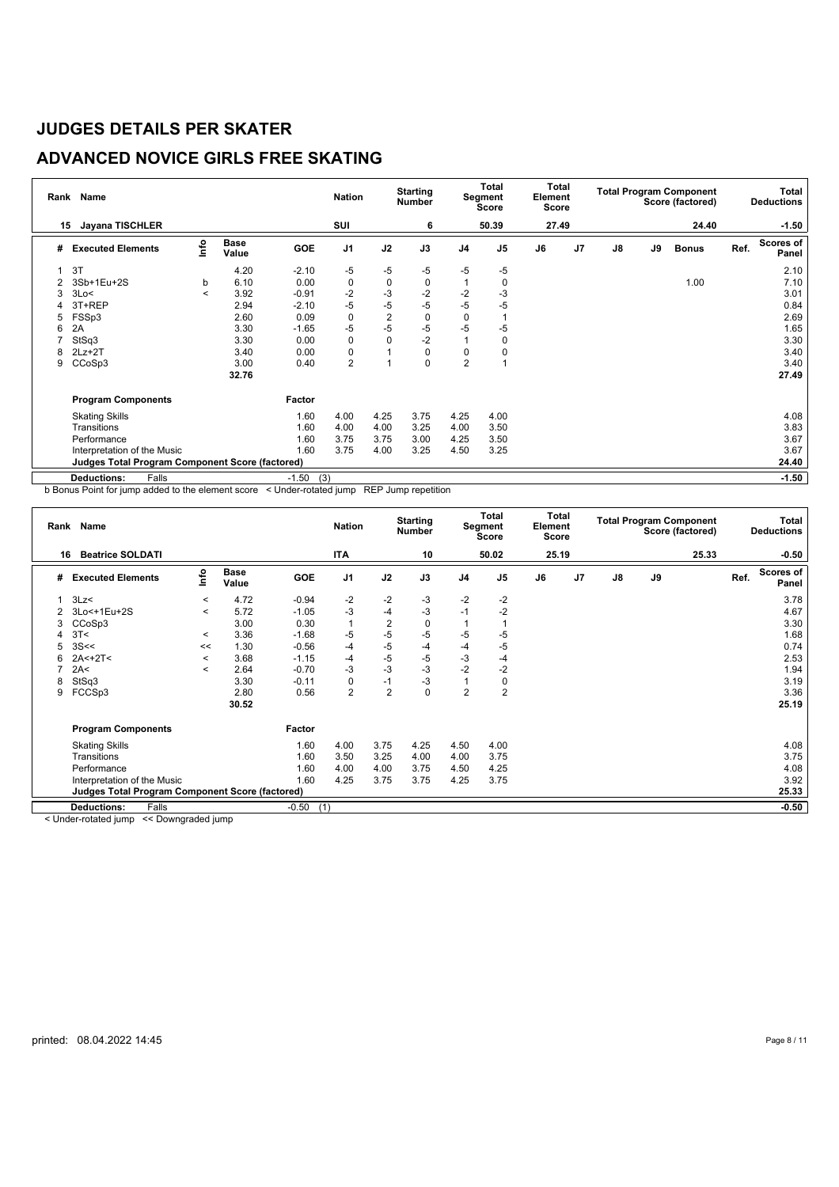## **ADVANCED NOVICE GIRLS FREE SKATING**

| Rank | <b>Name</b>                                            |         |                      |                | <b>Nation</b>  |                | <b>Starting</b><br>Number |                | Total<br>Segment<br>Score | Total<br>Element<br>Score |                |               |    | <b>Total Program Component</b><br>Score (factored) |      | <b>Total</b><br><b>Deductions</b> |
|------|--------------------------------------------------------|---------|----------------------|----------------|----------------|----------------|---------------------------|----------------|---------------------------|---------------------------|----------------|---------------|----|----------------------------------------------------|------|-----------------------------------|
| 15   | <b>Jayana TISCHLER</b>                                 |         |                      |                | SUI            |                | 6                         |                | 50.39                     | 27.49                     |                |               |    | 24.40                                              |      | $-1.50$                           |
| #    | <b>Executed Elements</b>                               | lnfo    | <b>Base</b><br>Value | <b>GOE</b>     | J <sub>1</sub> | J2             | J3                        | J <sub>4</sub> | J <sub>5</sub>            | J6                        | J <sub>7</sub> | $\mathsf{J}8$ | J9 | <b>Bonus</b>                                       | Ref. | Scores of<br>Panel                |
|      | 3T                                                     |         | 4.20                 | $-2.10$        | -5             | -5             | $-5$                      | -5             | $-5$                      |                           |                |               |    |                                                    |      | 2.10                              |
| 2    | 3Sb+1Eu+2S                                             | b       | 6.10                 | 0.00           | 0              | 0              | 0                         |                | 0                         |                           |                |               |    | 1.00                                               |      | 7.10                              |
| 3    | 3Lo<                                                   | $\,<\,$ | 3.92                 | $-0.91$        | $-2$           | $-3$           | $-2$                      | $-2$           | -3                        |                           |                |               |    |                                                    |      | 3.01                              |
|      | 3T+REP                                                 |         | 2.94                 | $-2.10$        | -5             | $-5$           | $-5$                      | -5             | $-5$                      |                           |                |               |    |                                                    |      | 0.84                              |
| 5    | FSSp3                                                  |         | 2.60                 | 0.09           | 0              | $\overline{2}$ | 0                         | 0              |                           |                           |                |               |    |                                                    |      | 2.69                              |
| 6    | 2A                                                     |         | 3.30                 | $-1.65$        | -5             | $-5$           | $-5$                      | $-5$           | $-5$                      |                           |                |               |    |                                                    |      | 1.65                              |
|      | StSq3                                                  |         | 3.30                 | 0.00           | 0              | $\mathbf 0$    | $-2$                      |                | 0                         |                           |                |               |    |                                                    |      | 3.30                              |
| 8    | $2Lz+2T$                                               |         | 3.40                 | 0.00           | 0              |                | 0                         | 0              | 0                         |                           |                |               |    |                                                    |      | 3.40                              |
| 9    | CCoSp3                                                 |         | 3.00                 | 0.40           | $\overline{2}$ | и              | 0                         | $\overline{2}$ |                           |                           |                |               |    |                                                    |      | 3.40                              |
|      |                                                        |         | 32.76                |                |                |                |                           |                |                           |                           |                |               |    |                                                    |      | 27.49                             |
|      | <b>Program Components</b>                              |         |                      | Factor         |                |                |                           |                |                           |                           |                |               |    |                                                    |      |                                   |
|      | <b>Skating Skills</b>                                  |         |                      | 1.60           | 4.00           | 4.25           | 3.75                      | 4.25           | 4.00                      |                           |                |               |    |                                                    |      | 4.08                              |
|      | Transitions                                            |         |                      | 1.60           | 4.00           | 4.00           | 3.25                      | 4.00           | 3.50                      |                           |                |               |    |                                                    |      | 3.83                              |
|      | Performance                                            |         |                      | 1.60           | 3.75           | 3.75           | 3.00                      | 4.25           | 3.50                      |                           |                |               |    |                                                    |      | 3.67                              |
|      | Interpretation of the Music                            |         |                      | 1.60           | 3.75           | 4.00           | 3.25                      | 4.50           | 3.25                      |                           |                |               |    |                                                    |      | 3.67                              |
|      | <b>Judges Total Program Component Score (factored)</b> |         |                      |                |                |                |                           |                |                           |                           |                |               |    |                                                    |      | 24.40                             |
|      | <b>Deductions:</b><br>Falls                            |         |                      | (3)<br>$-1.50$ |                |                |                           |                |                           |                           |                |               |    |                                                    |      | $-1.50$                           |

b Bonus Point for jump added to the element score < Under-rotated jump REP Jump repetition

| Rank     | Name<br><b>Beatrice SOLDATI</b><br>16                  |          |                      |                | <b>Nation</b>  |                | <b>Starting</b><br><b>Number</b> |                | <b>Total</b><br>Segment<br>Score | <b>Total</b><br>Element<br><b>Score</b> |                |    | <b>Total Program Component</b> | Score (factored) |      | Total<br><b>Deductions</b> |
|----------|--------------------------------------------------------|----------|----------------------|----------------|----------------|----------------|----------------------------------|----------------|----------------------------------|-----------------------------------------|----------------|----|--------------------------------|------------------|------|----------------------------|
|          |                                                        |          |                      |                | <b>ITA</b>     |                | 10                               |                | 50.02                            | 25.19                                   |                |    |                                | 25.33            |      | $-0.50$                    |
| #        | <b>Executed Elements</b>                               | lnfo     | <b>Base</b><br>Value | <b>GOE</b>     | J <sub>1</sub> | J2             | J3                               | J <sub>4</sub> | J <sub>5</sub>                   | J6                                      | J <sub>7</sub> | J8 | J9                             |                  | Ref. | Scores of<br>Panel         |
|          | 3Lz                                                    | $\prec$  | 4.72                 | $-0.94$        | $-2$           | $-2$           | -3                               | $-2$           | $-2$                             |                                         |                |    |                                |                  |      | 3.78                       |
|          | 3Lo<+1Eu+2S                                            | $\,<\,$  | 5.72                 | $-1.05$        | $-3$           | $-4$           | -3                               | $-1$           | $-2$                             |                                         |                |    |                                |                  |      | 4.67                       |
| 3        | CCoSp3                                                 |          | 3.00                 | 0.30           | $\mathbf{1}$   | $\overline{2}$ | 0                                |                |                                  |                                         |                |    |                                |                  |      | 3.30                       |
| Δ        | 3T<                                                    | $\prec$  | 3.36                 | $-1.68$        | $-5$           | -5             | $-5$                             | -5             | -5                               |                                         |                |    |                                |                  |      | 1.68                       |
| 5        | 3S <                                                   | <<       | 1.30                 | $-0.56$        | $-4$           | $-5$           | $-4$                             | -4             | -5                               |                                         |                |    |                                |                  |      | 0.74                       |
| 6        | $2A<+2T<$                                              | $\prec$  | 3.68                 | $-1.15$        | $-4$           | $-5$           | -5                               | -3             | $-4$                             |                                         |                |    |                                |                  |      | 2.53                       |
|          | 2A<                                                    | $\,<\,$  | 2.64                 | $-0.70$        | $-3$           | $-3$           | $-3$                             | $-2$           | $-2$                             |                                         |                |    |                                |                  |      | 1.94                       |
| 8        | StSq3                                                  |          | 3.30                 | $-0.11$        | 0              | $-1$           | $-3$                             | 1              | 0                                |                                         |                |    |                                |                  |      | 3.19                       |
| 9        | FCCSp3                                                 |          | 2.80                 | 0.56           | $\overline{2}$ | $\overline{2}$ | 0                                | $\overline{2}$ | $\overline{2}$                   |                                         |                |    |                                |                  |      | 3.36                       |
|          |                                                        |          | 30.52                |                |                |                |                                  |                |                                  |                                         |                |    |                                |                  |      | 25.19                      |
|          | <b>Program Components</b>                              |          |                      | Factor         |                |                |                                  |                |                                  |                                         |                |    |                                |                  |      |                            |
|          | <b>Skating Skills</b>                                  |          |                      | 1.60           | 4.00           | 3.75           | 4.25                             | 4.50           | 4.00                             |                                         |                |    |                                |                  |      | 4.08                       |
|          | Transitions                                            |          |                      | 1.60           | 3.50           | 3.25           | 4.00                             | 4.00           | 3.75                             |                                         |                |    |                                |                  |      | 3.75                       |
|          | Performance                                            |          |                      | 1.60           | 4.00           | 4.00           | 3.75                             | 4.50           | 4.25                             |                                         |                |    |                                |                  |      | 4.08                       |
|          | Interpretation of the Music                            |          |                      | 1.60           | 4.25           | 3.75           | 3.75                             | 4.25           | 3.75                             |                                         |                |    |                                |                  |      | 3.92                       |
|          | <b>Judges Total Program Component Score (factored)</b> |          |                      |                |                |                |                                  |                |                                  |                                         |                |    |                                |                  |      | 25.33                      |
|          | Falls<br><b>Deductions:</b>                            |          |                      | (1)<br>$-0.50$ |                |                |                                  |                |                                  |                                         |                |    |                                |                  |      | $-0.50$                    |
| $\cdots$ | $\overline{\phantom{0}}$                               | $\cdots$ |                      |                |                |                |                                  |                |                                  |                                         |                |    |                                |                  |      |                            |

< Under-rotated jump << Downgraded jump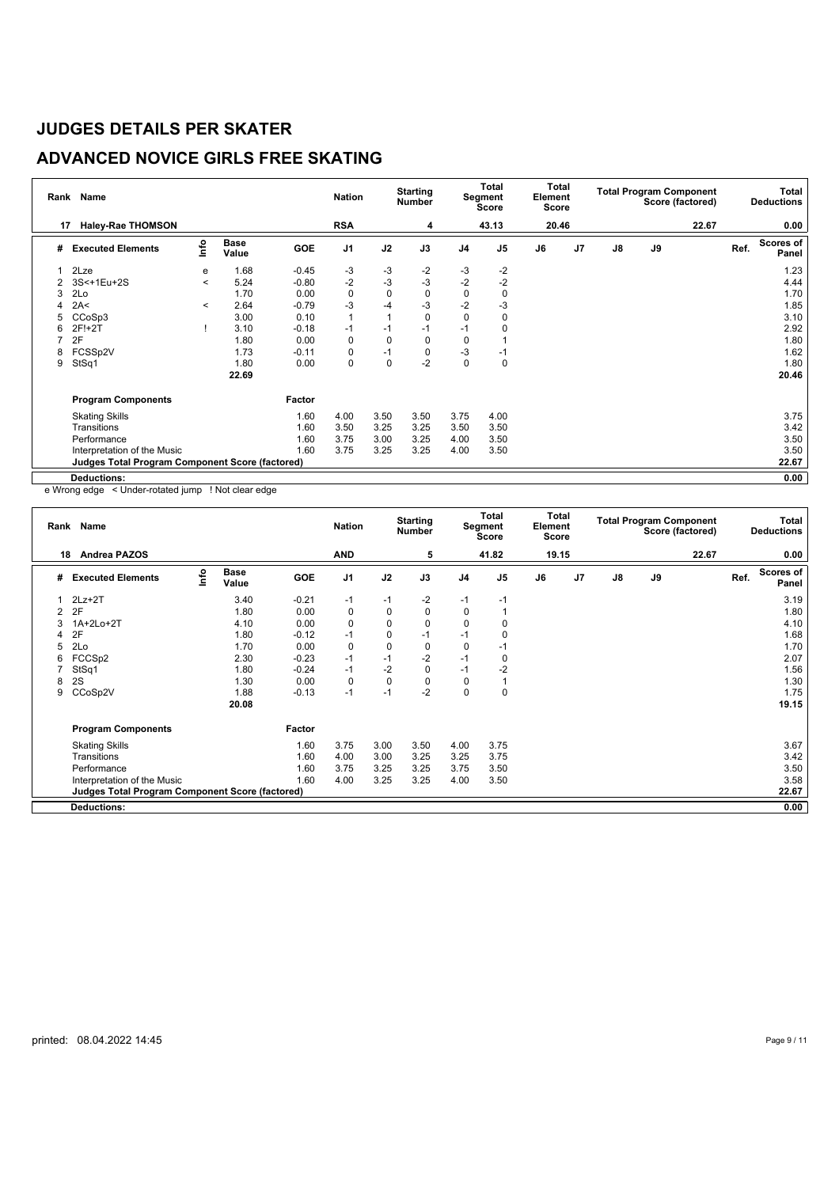## **ADVANCED NOVICE GIRLS FREE SKATING**

| Rank | <b>Name</b>                                            |         |                      |            | <b>Nation</b>  |             | <b>Starting</b><br><b>Number</b> |                | <b>Total</b><br>Segment<br><b>Score</b> | Total<br>Element<br>Score |                |               | <b>Total Program Component</b><br>Score (factored) |       | Total<br><b>Deductions</b> |                           |
|------|--------------------------------------------------------|---------|----------------------|------------|----------------|-------------|----------------------------------|----------------|-----------------------------------------|---------------------------|----------------|---------------|----------------------------------------------------|-------|----------------------------|---------------------------|
| 17   | <b>Haley-Rae THOMSON</b>                               |         |                      |            | <b>RSA</b>     |             | 4                                |                | 43.13                                   | 20.46                     |                |               |                                                    | 22.67 |                            | 0.00                      |
| #    | <b>Executed Elements</b>                               | lnfo    | <b>Base</b><br>Value | <b>GOE</b> | J <sub>1</sub> | J2          | J3                               | J <sub>4</sub> | J <sub>5</sub>                          | J6                        | J <sub>7</sub> | $\mathsf{J}8$ | J9                                                 |       | Ref.                       | <b>Scores of</b><br>Panel |
|      | 2Lze                                                   | е       | 1.68                 | $-0.45$    | -3             | -3          | $-2$                             | $-3$           | -2                                      |                           |                |               |                                                    |       |                            | 1.23                      |
| 2    | 3S<+1Eu+2S                                             | $\,<\,$ | 5.24                 | $-0.80$    | $-2$           | -3          | $-3$                             | $-2$           | $-2$                                    |                           |                |               |                                                    |       |                            | 4.44                      |
| 3    | 2Lo                                                    |         | 1.70                 | 0.00       | 0              | $\mathbf 0$ | $\mathbf 0$                      | 0              | 0                                       |                           |                |               |                                                    |       |                            | 1.70                      |
|      | 2A<                                                    | $\,<\,$ | 2.64                 | $-0.79$    | -3             | $-4$        | $-3$                             | $-2$           | $-3$                                    |                           |                |               |                                                    |       |                            | 1.85                      |
| 5    | CCoSp3                                                 |         | 3.00                 | 0.10       | $\mathbf{1}$   | 1           | 0                                | $\mathbf 0$    | $\Omega$                                |                           |                |               |                                                    |       |                            | 3.10                      |
| 6    | 2F!+2T                                                 |         | 3.10                 | $-0.18$    | $-1$           | $-1$        | $-1$                             | $-1$           | 0                                       |                           |                |               |                                                    |       |                            | 2.92                      |
|      | 2F                                                     |         | 1.80                 | 0.00       | 0              | $\mathbf 0$ | 0                                | $\mathbf 0$    |                                         |                           |                |               |                                                    |       |                            | 1.80                      |
| 8    | FCSSp2V                                                |         | 1.73                 | $-0.11$    | 0              | $-1$        | $\mathbf 0$                      | -3             | -1                                      |                           |                |               |                                                    |       |                            | 1.62                      |
| 9    | StSq1                                                  |         | 1.80                 | 0.00       | 0              | $\mathbf 0$ | $-2$                             | 0              | 0                                       |                           |                |               |                                                    |       |                            | 1.80                      |
|      |                                                        |         | 22.69                |            |                |             |                                  |                |                                         |                           |                |               |                                                    |       |                            | 20.46                     |
|      | <b>Program Components</b>                              |         |                      | Factor     |                |             |                                  |                |                                         |                           |                |               |                                                    |       |                            |                           |
|      | <b>Skating Skills</b>                                  |         |                      | 1.60       | 4.00           | 3.50        | 3.50                             | 3.75           | 4.00                                    |                           |                |               |                                                    |       |                            | 3.75                      |
|      | Transitions                                            |         |                      | 1.60       | 3.50           | 3.25        | 3.25                             | 3.50           | 3.50                                    |                           |                |               |                                                    |       |                            | 3.42                      |
|      | Performance                                            |         |                      | 1.60       | 3.75           | 3.00        | 3.25                             | 4.00           | 3.50                                    |                           |                |               |                                                    |       |                            | 3.50                      |
|      | Interpretation of the Music                            |         |                      | 1.60       | 3.75           | 3.25        | 3.25                             | 4.00           | 3.50                                    |                           |                |               |                                                    |       |                            | 3.50                      |
|      | <b>Judges Total Program Component Score (factored)</b> |         |                      |            |                |             |                                  |                |                                         |                           |                |               |                                                    |       |                            | 22.67                     |
|      | <b>Deductions:</b>                                     |         |                      |            |                |             |                                  |                |                                         |                           |                |               |                                                    |       |                            | 0.00                      |

e Wrong edge < Under-rotated jump ! Not clear edge

|   | Rank Name<br><b>Andrea PAZOS</b><br>18                 |      |                      |            |                |             | <b>Starting</b><br><b>Number</b> |                | <b>Total</b><br>Segment<br>Score | <b>Total</b><br>Element<br>Score |                |    |    | <b>Total Program Component</b><br>Score (factored) |      | Total<br><b>Deductions</b> |
|---|--------------------------------------------------------|------|----------------------|------------|----------------|-------------|----------------------------------|----------------|----------------------------------|----------------------------------|----------------|----|----|----------------------------------------------------|------|----------------------------|
|   |                                                        |      |                      |            | <b>AND</b>     |             | 5                                |                | 41.82                            | 19.15                            |                |    |    | 22.67                                              |      | 0.00                       |
| # | <b>Executed Elements</b>                               | Info | <b>Base</b><br>Value | <b>GOE</b> | J <sub>1</sub> | J2          | J3                               | J <sub>4</sub> | J <sub>5</sub>                   | J6                               | J <sub>7</sub> | J8 | J9 |                                                    | Ref. | Scores of<br>Panel         |
|   | $2Lz + 2T$                                             |      | 3.40                 | $-0.21$    | -1             | -1          | $-2$                             | $-1$           | -1                               |                                  |                |    |    |                                                    |      | 3.19                       |
| 2 | 2F                                                     |      | 1.80                 | 0.00       | $\mathbf 0$    | 0           | $\Omega$                         | $\Omega$       |                                  |                                  |                |    |    |                                                    |      | 1.80                       |
| 3 | 1A+2Lo+2T                                              |      | 4.10                 | 0.00       | $\mathbf 0$    | 0           | $\Omega$                         | $\Omega$       | $\Omega$                         |                                  |                |    |    |                                                    |      | 4.10                       |
| 4 | 2F                                                     |      | 1.80                 | $-0.12$    | $-1$           | 0           | $-1$                             | $-1$           | 0                                |                                  |                |    |    |                                                    |      | 1.68                       |
| 5 | 2Lo                                                    |      | 1.70                 | 0.00       | $\mathbf 0$    | 0           | 0                                | 0              | -1                               |                                  |                |    |    |                                                    |      | 1.70                       |
| 6 | FCCSp2                                                 |      | 2.30                 | $-0.23$    | $-1$           | $-1$        | $-2$                             | $-1$           | 0                                |                                  |                |    |    |                                                    |      | 2.07                       |
|   | StSq1                                                  |      | 1.80                 | $-0.24$    | $-1$           | $-2$        | 0                                | $-1$           | $-2$                             |                                  |                |    |    |                                                    |      | 1.56                       |
| 8 | 2S                                                     |      | 1.30                 | 0.00       | $\mathbf 0$    | $\mathbf 0$ | 0                                | 0              |                                  |                                  |                |    |    |                                                    |      | 1.30                       |
| 9 | CCoSp2V                                                |      | 1.88                 | $-0.13$    | $-1$           | $-1$        | $-2$                             | 0              | 0                                |                                  |                |    |    |                                                    |      | 1.75                       |
|   |                                                        |      | 20.08                |            |                |             |                                  |                |                                  |                                  |                |    |    |                                                    |      | 19.15                      |
|   | <b>Program Components</b>                              |      |                      | Factor     |                |             |                                  |                |                                  |                                  |                |    |    |                                                    |      |                            |
|   | <b>Skating Skills</b>                                  |      |                      | 1.60       | 3.75           | 3.00        | 3.50                             | 4.00           | 3.75                             |                                  |                |    |    |                                                    |      | 3.67                       |
|   | Transitions                                            |      |                      | 1.60       | 4.00           | 3.00        | 3.25                             | 3.25           | 3.75                             |                                  |                |    |    |                                                    |      | 3.42                       |
|   | Performance                                            |      |                      | 1.60       | 3.75           | 3.25        | 3.25                             | 3.75           | 3.50                             |                                  |                |    |    |                                                    |      | 3.50                       |
|   | Interpretation of the Music                            |      |                      | 1.60       | 4.00           | 3.25        | 3.25                             | 4.00           | 3.50                             |                                  |                |    |    |                                                    |      | 3.58                       |
|   | <b>Judges Total Program Component Score (factored)</b> |      |                      |            |                |             |                                  |                |                                  |                                  |                |    |    |                                                    |      | 22.67                      |
|   | <b>Deductions:</b>                                     |      |                      |            |                |             |                                  |                |                                  |                                  |                |    |    |                                                    |      | 0.00                       |
|   |                                                        |      |                      |            |                |             |                                  |                |                                  |                                  |                |    |    |                                                    |      |                            |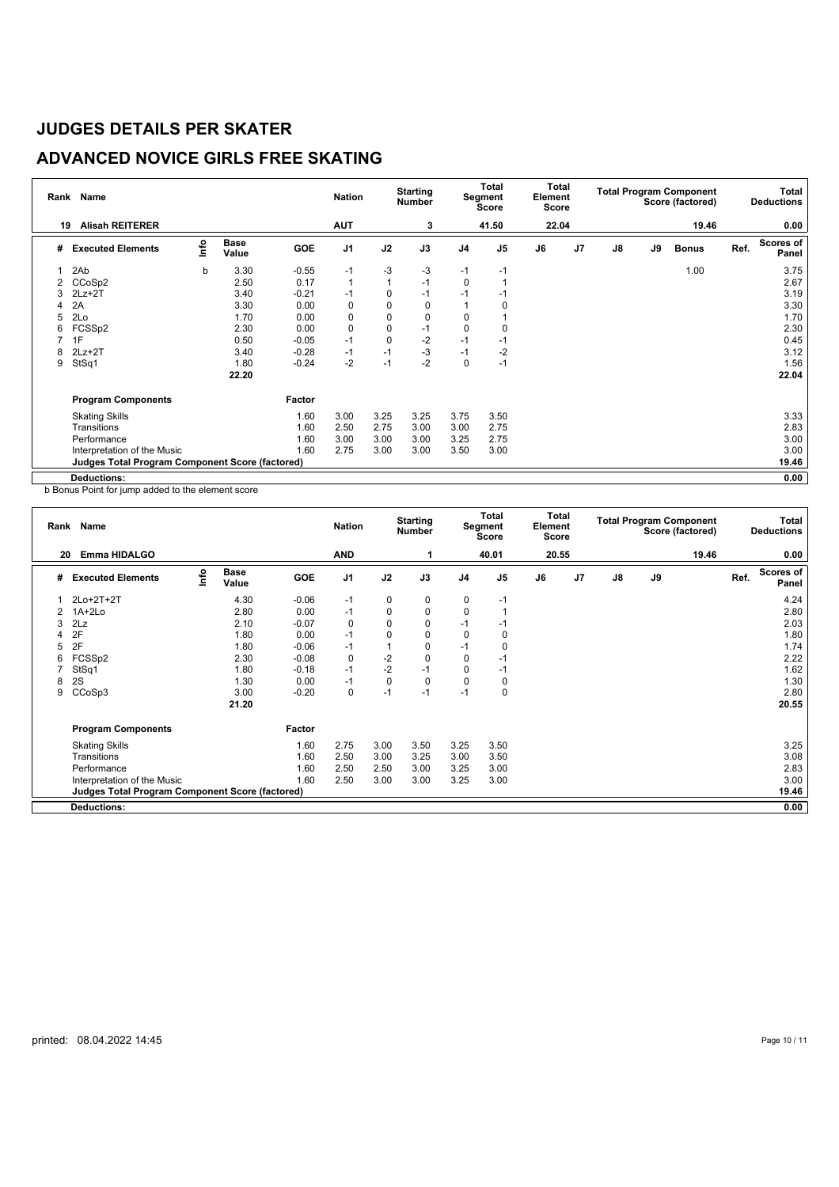## **ADVANCED NOVICE GIRLS FREE SKATING**

| Rank | Name                                                   |      |                      |         | <b>Nation</b> |                | <b>Starting</b><br><b>Number</b> |                | Total<br>Segment<br>Score | Total<br>Element<br><b>Score</b> |    |               |    | <b>Total Program Component</b><br>Score (factored) |      | Total<br><b>Deductions</b> |
|------|--------------------------------------------------------|------|----------------------|---------|---------------|----------------|----------------------------------|----------------|---------------------------|----------------------------------|----|---------------|----|----------------------------------------------------|------|----------------------------|
| 19   | <b>Alisah REITERER</b>                                 |      |                      |         | <b>AUT</b>    |                | 3                                |                | 41.50                     | 22.04                            |    |               |    | 19.46                                              |      | 0.00                       |
| #    | <b>Executed Elements</b>                               | lnfo | <b>Base</b><br>Value | GOE     | J1            | J2             | J3                               | J <sub>4</sub> | J <sub>5</sub>            | J6                               | J7 | $\mathsf{J}8$ | J9 | <b>Bonus</b>                                       | Ref. | <b>Scores of</b><br>Panel  |
|      | 2Ab                                                    | b    | 3.30                 | $-0.55$ | $-1$          | -3             | -3                               | $-1$           | $-1$                      |                                  |    |               |    | 1.00                                               |      | 3.75                       |
|      | CCoSp2                                                 |      | 2.50                 | 0.17    | $\mathbf{1}$  | $\overline{1}$ | $-1$                             | 0              |                           |                                  |    |               |    |                                                    |      | 2.67                       |
| 3    | $2Lz + 2T$                                             |      | 3.40                 | $-0.21$ | $-1$          | 0              | $-1$                             | $-1$           | -1                        |                                  |    |               |    |                                                    |      | 3.19                       |
|      | 2A                                                     |      | 3.30                 | 0.00    | 0             | 0              | 0                                |                |                           |                                  |    |               |    |                                                    |      | 3.30                       |
|      | 2Lo                                                    |      | 1.70                 | 0.00    | 0             | $\mathbf 0$    | 0                                | 0              |                           |                                  |    |               |    |                                                    |      | 1.70                       |
| 6    | FCSSp2                                                 |      | 2.30                 | 0.00    | $\pmb{0}$     | $\mathbf 0$    | $-1$                             | 0              |                           |                                  |    |               |    |                                                    |      | 2.30                       |
|      | 1F                                                     |      | 0.50                 | $-0.05$ | $-1$          | $\mathbf 0$    | $-2$                             | $-1$           | -1                        |                                  |    |               |    |                                                    |      | 0.45                       |
| 8    | $2Lz + 2T$                                             |      | 3.40                 | $-0.28$ | $-1$          | $-1$           | $-3$                             | $-1$           | $-2$                      |                                  |    |               |    |                                                    |      | 3.12                       |
| 9    | StSq1                                                  |      | 1.80                 | $-0.24$ | $-2$          | $-1$           | $-2$                             | $\mathbf 0$    | $-1$                      |                                  |    |               |    |                                                    |      | 1.56                       |
|      |                                                        |      | 22.20                |         |               |                |                                  |                |                           |                                  |    |               |    |                                                    |      | 22.04                      |
|      | <b>Program Components</b>                              |      |                      | Factor  |               |                |                                  |                |                           |                                  |    |               |    |                                                    |      |                            |
|      | <b>Skating Skills</b>                                  |      |                      | 1.60    | 3.00          | 3.25           | 3.25                             | 3.75           | 3.50                      |                                  |    |               |    |                                                    |      | 3.33                       |
|      | Transitions                                            |      |                      | 1.60    | 2.50          | 2.75           | 3.00                             | 3.00           | 2.75                      |                                  |    |               |    |                                                    |      | 2.83                       |
|      | Performance                                            |      |                      | 1.60    | 3.00          | 3.00           | 3.00                             | 3.25           | 2.75                      |                                  |    |               |    |                                                    |      | 3.00                       |
|      | Interpretation of the Music                            |      |                      | 1.60    | 2.75          | 3.00           | 3.00                             | 3.50           | 3.00                      |                                  |    |               |    |                                                    |      | 3.00                       |
|      | <b>Judges Total Program Component Score (factored)</b> |      |                      |         |               |                |                                  |                |                           |                                  |    |               |    |                                                    |      | 19.46                      |
|      | <b>Deductions:</b>                                     |      |                      |         |               |                |                                  |                |                           |                                  |    |               |    |                                                    |      | 0.00                       |

b Bonus Point for jump added to the element score

|   | Name<br>Rank<br>20                              |      |                      |            | <b>Nation</b>  |          | <b>Starting</b><br><b>Number</b> |                | <b>Total</b><br>Segment<br><b>Score</b> | <b>Total</b><br>Element<br>Score |                |    |    | <b>Total Program Component</b><br>Score (factored) |      | Total<br><b>Deductions</b> |
|---|-------------------------------------------------|------|----------------------|------------|----------------|----------|----------------------------------|----------------|-----------------------------------------|----------------------------------|----------------|----|----|----------------------------------------------------|------|----------------------------|
|   | Emma HIDALGO                                    |      |                      |            | <b>AND</b>     |          |                                  |                | 40.01                                   | 20.55                            |                |    |    | 19.46                                              |      | 0.00                       |
| # | <b>Executed Elements</b>                        | info | <b>Base</b><br>Value | <b>GOE</b> | J <sub>1</sub> | J2       | J3                               | J <sub>4</sub> | J <sub>5</sub>                          | J6                               | J <sub>7</sub> | J8 | J9 |                                                    | Ref. | <b>Scores of</b><br>Panel  |
|   | 2Lo+2T+2T                                       |      | 4.30                 | $-0.06$    | $-1$           | 0        | 0                                | 0              | $-1$                                    |                                  |                |    |    |                                                    |      | 4.24                       |
| 2 | $1A+2Lo$                                        |      | 2.80                 | 0.00       | $-1$           | 0        | 0                                | 0              |                                         |                                  |                |    |    |                                                    |      | 2.80                       |
| 3 | 2Lz                                             |      | 2.10                 | $-0.07$    | $\mathbf 0$    | $\Omega$ | $\Omega$                         | $-1$           | -1                                      |                                  |                |    |    |                                                    |      | 2.03                       |
|   | 2F                                              |      | 1.80                 | 0.00       | $-1$           | 0        | 0                                | 0              | 0                                       |                                  |                |    |    |                                                    |      | 1.80                       |
| 5 | 2F                                              |      | 1.80                 | $-0.06$    | $-1$           |          | 0                                | $-1$           | 0                                       |                                  |                |    |    |                                                    |      | 1.74                       |
| 6 | FCSS <sub>p2</sub>                              |      | 2.30                 | $-0.08$    | $\mathbf 0$    | $-2$     | 0                                | 0              | $-1$                                    |                                  |                |    |    |                                                    |      | 2.22                       |
|   | StSq1                                           |      | 1.80                 | $-0.18$    | $-1$           | $-2$     | $-1$                             | $\Omega$       | $-1$                                    |                                  |                |    |    |                                                    |      | 1.62                       |
| 8 | 2S                                              |      | 1.30                 | 0.00       | $-1$           | 0        | $\Omega$                         | $\Omega$       | 0                                       |                                  |                |    |    |                                                    |      | 1.30                       |
| 9 | CCoSp3                                          |      | 3.00                 | $-0.20$    | $\mathbf 0$    | $-1$     | $-1$                             | $-1$           | 0                                       |                                  |                |    |    |                                                    |      | 2.80                       |
|   |                                                 |      | 21.20                |            |                |          |                                  |                |                                         |                                  |                |    |    |                                                    |      | 20.55                      |
|   | <b>Program Components</b>                       |      |                      | Factor     |                |          |                                  |                |                                         |                                  |                |    |    |                                                    |      |                            |
|   | <b>Skating Skills</b>                           |      |                      | 1.60       | 2.75           | 3.00     | 3.50                             | 3.25           | 3.50                                    |                                  |                |    |    |                                                    |      | 3.25                       |
|   | Transitions                                     |      |                      | 1.60       | 2.50           | 3.00     | 3.25                             | 3.00           | 3.50                                    |                                  |                |    |    |                                                    |      | 3.08                       |
|   | Performance                                     |      |                      | 1.60       | 2.50           | 2.50     | 3.00                             | 3.25           | 3.00                                    |                                  |                |    |    |                                                    |      | 2.83                       |
|   | Interpretation of the Music                     |      |                      | 1.60       | 2.50           | 3.00     | 3.00                             | 3.25           | 3.00                                    |                                  |                |    |    |                                                    |      | 3.00                       |
|   | Judges Total Program Component Score (factored) |      |                      |            |                |          |                                  |                |                                         |                                  |                |    |    |                                                    |      | 19.46                      |
|   | <b>Deductions:</b>                              |      |                      |            |                |          |                                  |                |                                         |                                  |                |    |    |                                                    |      | 0.00                       |
|   |                                                 |      |                      |            |                |          |                                  |                |                                         |                                  |                |    |    |                                                    |      |                            |